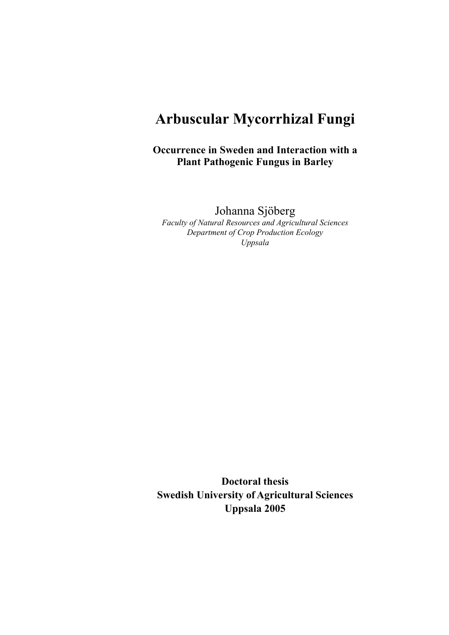# **Arbuscular Mycorrhizal Fungi**

**Occurrence in Sweden and Interaction with a Plant Pathogenic Fungus in Barley** 

Johanna Sjöberg

*Faculty of Natural Resources and Agricultural Sciences Department of Crop Production Ecology Uppsala* 

**Doctoral thesis Swedish University of Agricultural Sciences Uppsala 2005**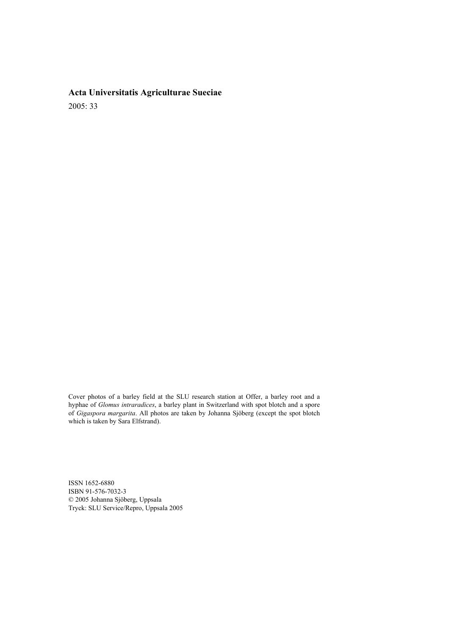# **Acta Universitatis Agriculturae Sueciae**  2005: 33

Cover photos of a barley field at the SLU research station at Offer, a barley root and a hyphae of *Glomus intraradices*, a barley plant in Switzerland with spot blotch and a spore of *Gigaspora margarita*. All photos are taken by Johanna Sjöberg (except the spot blotch which is taken by Sara Elfstrand).

ISSN 1652-6880 ISBN 91-576-7032-3 © 2005 Johanna Sjöberg, Uppsala Tryck: SLU Service/Repro, Uppsala 2005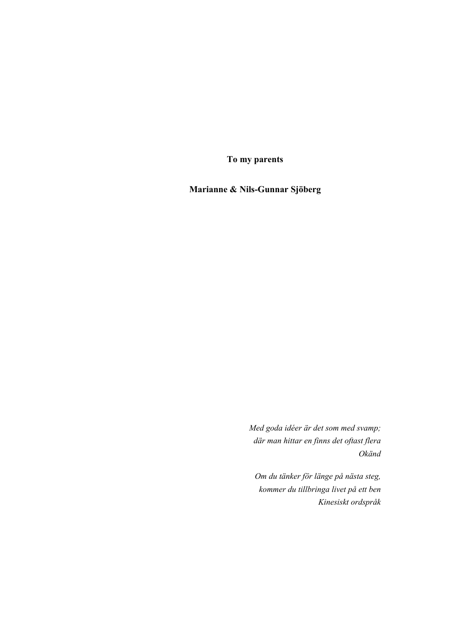**To my parents** 

**Marianne & Nils-Gunnar Sjöberg** 

*Med goda idéer är det som med svamp; där man hittar en finns det oftast flera Okänd* 

*Om du tänker för länge på nästa steg, kommer du tillbringa livet på ett ben Kinesiskt ordspråk*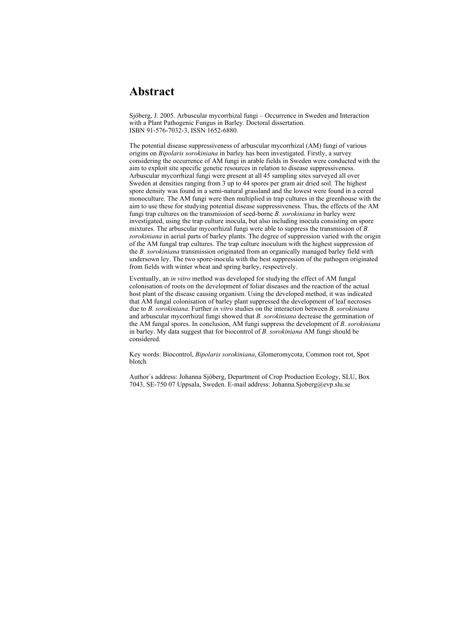# **Abstract**

Sjöberg, J. 2005. Arbuscular mycorrhizal fungi – Occurrence in Sweden and Interaction with a Plant Pathogenic Fungus in Barley. Doctoral dissertation. ISBN 91-576-7032-3, ISSN 1652-6880.

The potential disease suppressiveness of arbuscular mycorrhizal (AM) fungi of various origins on *Bipolaris sorokiniana* in barley has been investigated. Firstly, a survey considering the occurrence of AM fungi in arable fields in Sweden were conducted with the aim to exploit site specific genetic resources in relation to disease suppressiveness. Arbuscular mycorrhizal fungi were present at all 45 sampling sites surveyed all over Sweden at densities ranging from 3 up to 44 spores per gram air dried soil. The highest spore density was found in a semi-natural grassland and the lowest were found in a cereal monoculture. The AM fungi were then multiplied in trap cultures in the greenhouse with the aim to use these for studying potential disease suppressiveness. Thus, the effects of the AM fungi trap cultures on the transmission of seed-borne *B. sorokiniana* in barley were investigated, using the trap culture inocula, but also including inocula consisting on spore mixtures. The arbuscular mycorrhizal fungi were able to suppress the transmission of *B. sorokiniana* in aerial parts of barley plants. The degree of suppression varied with the origin of the AM fungal trap cultures. The trap culture inoculum with the highest suppression of the *B. sorokiniana* transmission originated from an organically managed barley field with undersown ley. The two spore-inocula with the best suppression of the pathogen originated from fields with winter wheat and spring barley, respectively.

Eventually, an *in vitro* method was developed for studying the effect of AM fungal colonisation of roots on the development of foliar diseases and the reaction of the actual host plant of the disease causing organism. Using the developed method, it was indicated that AM fungal colonisation of barley plant suppressed the development of leaf necroses due to *B. sorokiniana*. Further *in vitro* studies on the interaction between *B. sorokiniana* and arbuscular mycorrhizal fungi showed that *B. sorokiniana* decrease the germination of the AM fungal spores. In conclusion, AM fungi suppress the development of *B. sorokiniana* in barley. My data suggest that for biocontrol of *B. sorokiniana* AM fungi should be considered.

Key words: Biocontrol, *Bipolaris sorokiniana*, Glomeromycota, Common root rot, Spot blotch

Author´s address: Johanna Sjöberg, Department of Crop Production Ecology, SLU, Box 7043, SE-750 07 Uppsala, Sweden. E-mail address: Johanna.Sjoberg@evp.slu.se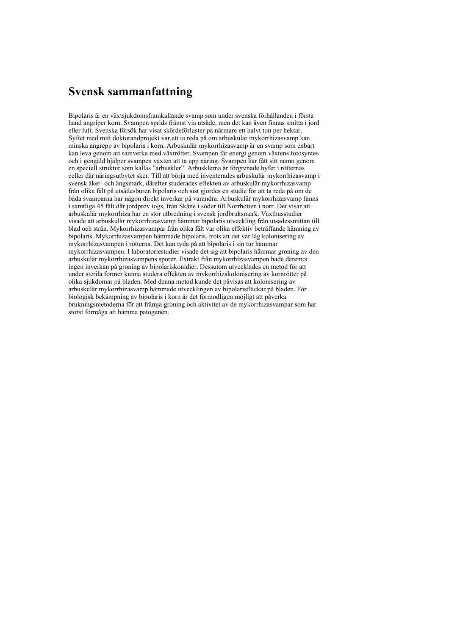# **Svensk sammanfattning**

Bipolaris är en växtsjukdomsframkallande svamp som under svenska förhållanden i första hand angriper korn. Svampen sprids främst via utsäde, men det kan även finnas smitta i jord eller luft. Svenska försök har visat skördeförluster på närmare ett halvt ton per hektar. Syftet med mitt doktorandprojekt var att ta reda på om arbuskulär mykorrhizasvamp kan minska angrepp av bipolaris i korn. Arbuskulär mykorrhizasvamp är en svamp som enbart kan leva genom att samverka med växtrötter. Svampen får energi genom växtens fotosyntes och i gengäld hjälper svampen växten att ta upp näring. Svampen har fått sitt namn genom en speciell struktur som kallas "arbuskler". Arbusklerna är förgrenade hyfer i rötternas celler där näringsutbytet sker. Till att börja med inventerades arbuskulär mykorrhizasvamp i svensk åker- och ängsmark, därefter studerades effekten av arbuskulär mykorrhizasvamp från olika fält på utsädesburen bipolaris och sist gjordes en studie för att ta reda på om de båda svamparna har någon direkt inverkar på varandra. Arbuskulär mykorrhizasvamp fanns i samtliga 45 fält där jordprov togs, från Skåne i söder till Norrbotten i norr. Det visar att arbuskulär mykorrhiza har en stor utbredning i svensk jordbruksmark. Växthusstudier visade att arbuskulär mykorrhizasvamp hämmar bipolaris utveckling från utsädessmittan till blad och strån. Mykorrhizasvampar från olika fält var olika effektiv beträffande hämning av bipolaris. Mykorrhizasvampen hämmade bipolaris, trots att det var låg kolonisering av mykorrhizasvampen i rötterna. Det kan tyda på att bipolaris i sin tur hämmar mykorrhizasvampen. I laboratoriestudier visade det sig att bipolaris hämmar groning av den arbuskulär mykorrhizasvampens sporer. Extrakt från mykorrhizasvampen hade däremot ingen inverkan på groning av bipolariskonidier. Dessutom utvecklades en metod för att under sterila former kunna studera effekten av mykorrhizakolonisering av kornrötter på olika sjukdomar på bladen. Med denna metod kunde det påvisas att kolonisering av arbuskulär mykorrhizasvamp hämmade utvecklingen av bipolarisfläckar på bladen. För biologisk bekämpning av bipolaris i korn är det förmodligen möjligt att påverka brukningsmetoderna för att främja groning och aktivitet av de mykorrhizasvampar som har störst förmåga att hämma patogenen.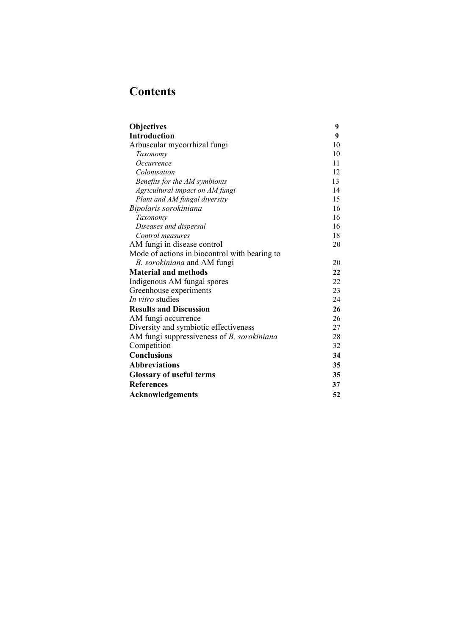# **Contents**

| <b>Objectives</b>                                 | 9  |
|---------------------------------------------------|----|
| <b>Introduction</b>                               | 9  |
| Arbuscular mycorrhizal fungi                      | 10 |
| Taxonomy                                          | 10 |
| Occurrence                                        | 11 |
| Colonisation                                      | 12 |
| Benefits for the AM symbionts                     | 13 |
| Agricultural impact on AM fungi                   | 14 |
| Plant and AM fungal diversity                     | 15 |
| Bipolaris sorokiniana                             | 16 |
| Taxonomy                                          | 16 |
| Diseases and dispersal                            | 16 |
| Control measures                                  | 18 |
| AM fungi in disease control                       | 20 |
| Mode of actions in biocontrol with bearing to     |    |
| B. sorokiniana and AM fungi                       | 20 |
| <b>Material and methods</b>                       | 22 |
| Indigenous AM fungal spores                       | 22 |
| Greenhouse experiments                            | 23 |
| <i>In vitro</i> studies                           | 24 |
| <b>Results and Discussion</b>                     | 26 |
| AM fungi occurrence                               | 26 |
| Diversity and symbiotic effectiveness             | 27 |
| AM fungi suppressiveness of <i>B. sorokiniana</i> | 28 |
| Competition                                       | 32 |
| <b>Conclusions</b>                                | 34 |
| <b>Abbreviations</b>                              | 35 |
| <b>Glossary of useful terms</b>                   | 35 |
| <b>References</b>                                 | 37 |
|                                                   | 52 |
| <b>Acknowledgements</b>                           |    |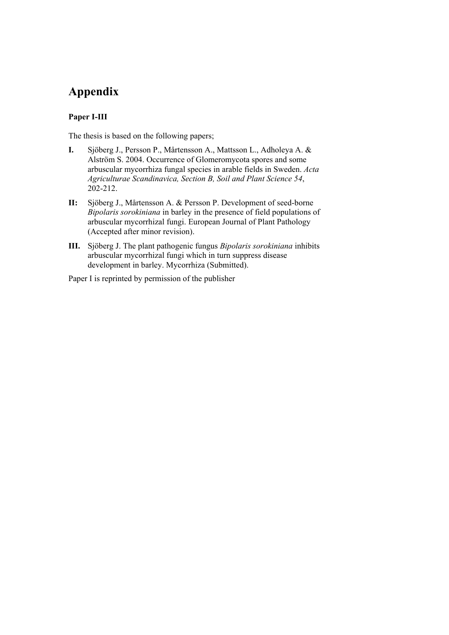# **Appendix**

## **Paper I-III**

The thesis is based on the following papers;

- **I.** Sjöberg J., Persson P., Mårtensson A., Mattsson L., Adholeya A. & Alström S. 2004. Occurrence of Glomeromycota spores and some arbuscular mycorrhiza fungal species in arable fields in Sweden. *Acta Agriculturae Scandinavica, Section B, Soil and Plant Science 54*, 202-212.
- **II:** Sjöberg J., Mårtensson A. & Persson P. Development of seed-borne *Bipolaris sorokiniana* in barley in the presence of field populations of arbuscular mycorrhizal fungi. European Journal of Plant Pathology (Accepted after minor revision).
- **III.** Sjöberg J. The plant pathogenic fungus *Bipolaris sorokiniana* inhibits arbuscular mycorrhizal fungi which in turn suppress disease development in barley. Mycorrhiza (Submitted).

Paper I is reprinted by permission of the publisher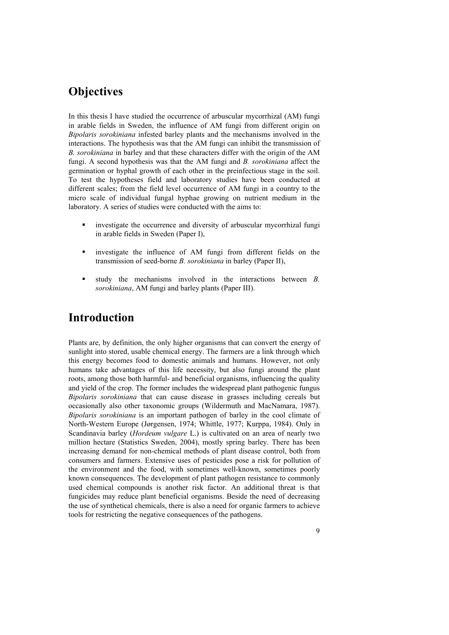# **Objectives**

In this thesis I have studied the occurrence of arbuscular mycorrhizal (AM) fungi in arable fields in Sweden, the influence of AM fungi from different origin on *Bipolaris sorokiniana* infested barley plants and the mechanisms involved in the interactions. The hypothesis was that the AM fungi can inhibit the transmission of *B. sorokiniana* in barley and that these characters differ with the origin of the AM fungi. A second hypothesis was that the AM fungi and *B. sorokiniana* affect the germination or hyphal growth of each other in the preinfectious stage in the soil. To test the hypotheses field and laboratory studies have been conducted at different scales; from the field level occurrence of AM fungi in a country to the micro scale of individual fungal hyphae growing on nutrient medium in the laboratory. A series of studies were conducted with the aims to:

- investigate the occurrence and diversity of arbuscular mycorrhizal fungi in arable fields in Sweden (Paper I),
- investigate the influence of AM fungi from different fields on the transmission of seed-borne *B. sorokiniana* in barley (Paper II),
- study the mechanisms involved in the interactions between *B. sorokiniana*, AM fungi and barley plants (Paper III).

# **Introduction**

Plants are, by definition, the only higher organisms that can convert the energy of sunlight into stored, usable chemical energy. The farmers are a link through which this energy becomes food to domestic animals and humans. However, not only humans take advantages of this life necessity, but also fungi around the plant roots, among those both harmful- and beneficial organisms, influencing the quality and yield of the crop. The former includes the widespread plant pathogenic fungus *Bipolaris sorokiniana* that can cause disease in grasses including cereals but occasionally also other taxonomic groups (Wildermuth and MacNamara, 1987). *Bipolaris sorokiniana* is an important pathogen of barley in the cool climate of North-Western Europe (Jørgensen, 1974; Whittle, 1977; Kurppa, 1984). Only in Scandinavia barley (*Hordeum vulgare* L.) is cultivated on an area of nearly two million hectare (Statistics Sweden, 2004), mostly spring barley. There has been increasing demand for non-chemical methods of plant disease control, both from consumers and farmers. Extensive uses of pesticides pose a risk for pollution of the environment and the food, with sometimes well-known, sometimes poorly known consequences. The development of plant pathogen resistance to commonly used chemical compounds is another risk factor. An additional threat is that fungicides may reduce plant beneficial organisms. Beside the need of decreasing the use of synthetical chemicals, there is also a need for organic farmers to achieve tools for restricting the negative consequences of the pathogens.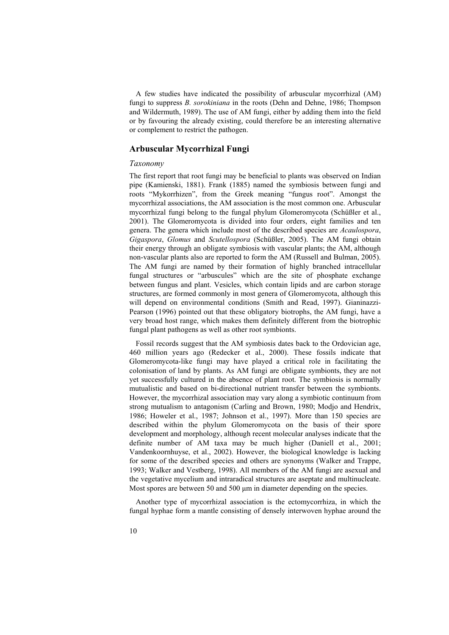A few studies have indicated the possibility of arbuscular mycorrhizal (AM) fungi to suppress *B. sorokiniana* in the roots (Dehn and Dehne, 1986; Thompson and Wildermuth, 1989). The use of AM fungi, either by adding them into the field or by favouring the already existing, could therefore be an interesting alternative or complement to restrict the pathogen.

### **Arbuscular Mycorrhizal Fungi**

#### *Taxonomy*

The first report that root fungi may be beneficial to plants was observed on Indian pipe (Kamienski, 1881). Frank (1885) named the symbiosis between fungi and roots "Mykorrhizen", from the Greek meaning "fungus root". Amongst the mycorrhizal associations, the AM association is the most common one. Arbuscular mycorrhizal fungi belong to the fungal phylum Glomeromycota (Schüßler et al., 2001). The Glomeromycota is divided into four orders, eight families and ten genera. The genera which include most of the described species are *Acaulospora*, *Gigaspora*, *Glomus* and *Scutellospora* (Schüßler, 2005). The AM fungi obtain their energy through an obligate symbiosis with vascular plants; the AM, although non-vascular plants also are reported to form the AM (Russell and Bulman, 2005). The AM fungi are named by their formation of highly branched intracellular fungal structures or "arbuscules" which are the site of phosphate exchange between fungus and plant. Vesicles, which contain lipids and are carbon storage structures, are formed commonly in most genera of Glomeromycota, although this will depend on environmental conditions (Smith and Read, 1997). Gianinazzi-Pearson (1996) pointed out that these obligatory biotrophs, the AM fungi, have a very broad host range, which makes them definitely different from the biotrophic fungal plant pathogens as well as other root symbionts.

Fossil records suggest that the AM symbiosis dates back to the Ordovician age, 460 million years ago (Redecker et al., 2000). These fossils indicate that Glomeromycota-like fungi may have played a critical role in facilitating the colonisation of land by plants. As AM fungi are obligate symbionts, they are not yet successfully cultured in the absence of plant root. The symbiosis is normally mutualistic and based on bi-directional nutrient transfer between the symbionts. However, the mycorrhizal association may vary along a symbiotic continuum from strong mutualism to antagonism (Carling and Brown, 1980; Modjo and Hendrix, 1986; Howeler et al., 1987; Johnson et al., 1997). More than 150 species are described within the phylum Glomeromycota on the basis of their spore development and morphology, although recent molecular analyses indicate that the definite number of AM taxa may be much higher (Daniell et al., 2001; Vandenkoornhuyse, et al., 2002). However, the biological knowledge is lacking for some of the described species and others are synonyms (Walker and Trappe, 1993; Walker and Vestberg, 1998). All members of the AM fungi are asexual and the vegetative mycelium and intraradical structures are aseptate and multinucleate. Most spores are between 50 and 500  $\mu$ m in diameter depending on the species.

Another type of mycorrhizal association is the ectomycorrhiza, in which the fungal hyphae form a mantle consisting of densely interwoven hyphae around the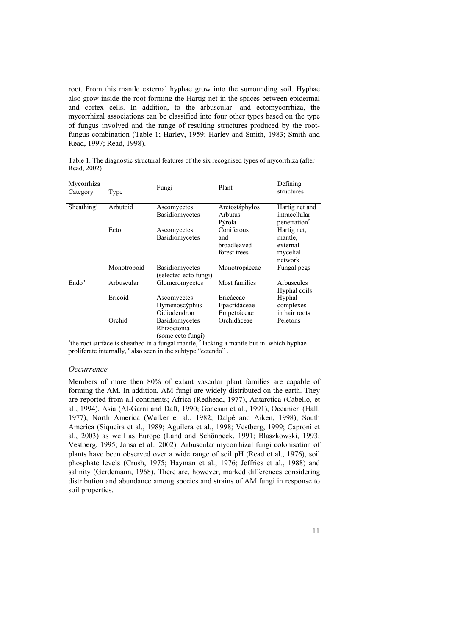root. From this mantle external hyphae grow into the surrounding soil. Hyphae also grow inside the root forming the Hartig net in the spaces between epidermal and cortex cells. In addition, to the arbuscular- and ectomycorrhiza, the mycorrhizal associations can be classified into four other types based on the type of fungus involved and the range of resulting structures produced by the rootfungus combination (Table 1; Harley, 1959; Harley and Smith, 1983; Smith and Read, 1997; Read, 1998).

Table 1. The diagnostic structural features of the six recognised types of mycorrhiza (after Read, 2002)

| Mycorrhiza<br>Category | Type        | Fungi                                             | Plant                                            | Defining<br>structures                                      |
|------------------------|-------------|---------------------------------------------------|--------------------------------------------------|-------------------------------------------------------------|
| Sheathing <sup>a</sup> | Arbutoid    | Ascomycetes<br>Basidiomycetes                     | Arctostáphylos<br><b>Arbutus</b><br>Pýrola       | Hartig net and<br>intracellular<br>penetration <sup>c</sup> |
|                        | Ecto        | Ascomycetes<br>Basidiomycetes                     | Coniferous<br>and<br>broadleaved<br>forest trees | Hartig net,<br>mantle.<br>external<br>mycelial<br>network   |
|                        | Monotropoid | <b>Basidiomycetes</b><br>(selected ecto fungi)    | Monotropáceae                                    | Fungal pegs                                                 |
| Endob                  | Arbuscular  | Glomeromycetes                                    | Most families                                    | Arbuscules<br>Hyphal coils                                  |
|                        | Ericoid     | Ascomycetes<br>Hymenoscýphus<br>Oidiodendron      | Ericáceae<br>Epacridáceae<br>Empetráceae         | Hyphal<br>complexes<br>in hair roots                        |
|                        | Orchid      | Basidiomycetes<br>Rhizoctonia<br>some ecto fungi) | Orchidáceae                                      | Peletons                                                    |

<sup>a</sup>the root surface is sheathed in a fungal mantle, <sup>b</sup> lacking a mantle but in which hyphae proliferate internally, <sup>c</sup> also seen in the subtype "ectendo".

#### *Occurrence*

Members of more then 80% of extant vascular plant families are capable of forming the AM. In addition, AM fungi are widely distributed on the earth. They are reported from all continents; Africa (Redhead, 1977), Antarctica (Cabello, et al., 1994), Asia (Al-Garni and Daft, 1990; Ganesan et al., 1991), Oceanien (Hall, 1977), North America (Walker et al., 1982; Dalpé and Aiken, 1998), South America (Siqueira et al., 1989; Aguilera et al., 1998; Vestberg, 1999; Caproni et al., 2003) as well as Europe (Land and Schönbeck, 1991; Blaszkowski, 1993; Vestberg, 1995; Jansa et al., 2002). Arbuscular mycorrhizal fungi colonisation of plants have been observed over a wide range of soil pH (Read et al., 1976), soil phosphate levels (Crush, 1975; Hayman et al., 1976; Jeffries et al., 1988) and salinity (Gerdemann, 1968). There are, however, marked differences considering distribution and abundance among species and strains of AM fungi in response to soil properties.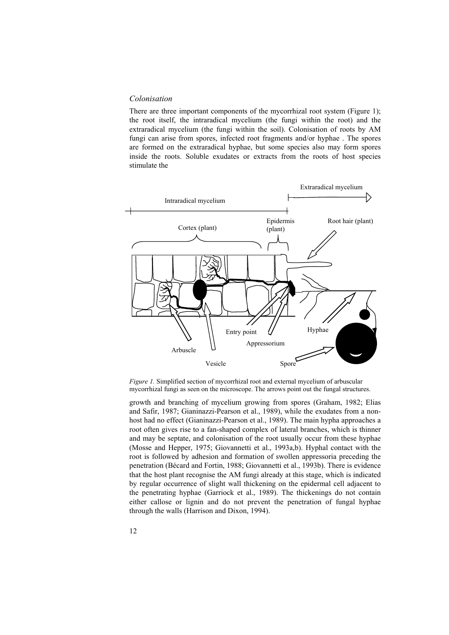### *Colonisation*

There are three important components of the mycorrhizal root system (Figure 1); the root itself, the intraradical mycelium (the fungi within the root) and the extraradical mycelium (the fungi within the soil). Colonisation of roots by AM fungi can arise from spores, infected root fragments and/or hyphae . The spores are formed on the extraradical hyphae, but some species also may form spores inside the roots. Soluble exudates or extracts from the roots of host species stimulate the



*Figure 1.* Simplified section of mycorrhizal root and external mycelium of arbuscular mycorrhizal fungi as seen on the microscope. The arrows point out the fungal structures.

growth and branching of mycelium growing from spores (Graham, 1982; Elias and Safir, 1987; Gianinazzi-Pearson et al., 1989), while the exudates from a nonhost had no effect (Gianinazzi-Pearson et al., 1989). The main hypha approaches a root often gives rise to a fan-shaped complex of lateral branches, which is thinner and may be septate, and colonisation of the root usually occur from these hyphae (Mosse and Hepper, 1975; Giovannetti et al., 1993a,b). Hyphal contact with the root is followed by adhesion and formation of swollen appressoria preceding the penetration (Bécard and Fortin, 1988; Giovannetti et al., 1993b). There is evidence that the host plant recognise the AM fungi already at this stage, which is indicated by regular occurrence of slight wall thickening on the epidermal cell adjacent to the penetrating hyphae (Garriock et al., 1989). The thickenings do not contain either callose or lignin and do not prevent the penetration of fungal hyphae through the walls (Harrison and Dixon, 1994).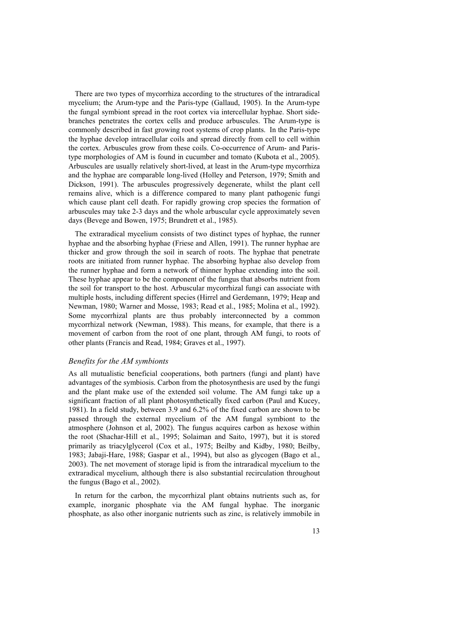There are two types of mycorrhiza according to the structures of the intraradical mycelium; the Arum-type and the Paris-type (Gallaud, 1905). In the Arum-type the fungal symbiont spread in the root cortex via intercellular hyphae. Short sidebranches penetrates the cortex cells and produce arbuscules. The Arum-type is commonly described in fast growing root systems of crop plants. In the Paris-type the hyphae develop intracellular coils and spread directly from cell to cell within the cortex. Arbuscules grow from these coils. Co-occurrence of Arum- and Paristype morphologies of AM is found in cucumber and tomato (Kubota et al., 2005). Arbuscules are usually relatively short-lived, at least in the Arum-type mycorrhiza and the hyphae are comparable long-lived (Holley and Peterson, 1979; Smith and Dickson, 1991). The arbuscules progressively degenerate, whilst the plant cell remains alive, which is a difference compared to many plant pathogenic fungi which cause plant cell death. For rapidly growing crop species the formation of arbuscules may take 2-3 days and the whole arbuscular cycle approximately seven days (Bevege and Bowen, 1975; Brundrett et al., 1985).

The extraradical mycelium consists of two distinct types of hyphae, the runner hyphae and the absorbing hyphae (Friese and Allen, 1991). The runner hyphae are thicker and grow through the soil in search of roots. The hyphae that penetrate roots are initiated from runner hyphae. The absorbing hyphae also develop from the runner hyphae and form a network of thinner hyphae extending into the soil. These hyphae appear to be the component of the fungus that absorbs nutrient from the soil for transport to the host. Arbuscular mycorrhizal fungi can associate with multiple hosts, including different species (Hirrel and Gerdemann, 1979; Heap and Newman, 1980; Warner and Mosse, 1983; Read et al., 1985; Molina et al., 1992). Some mycorrhizal plants are thus probably interconnected by a common mycorrhizal network (Newman, 1988). This means, for example, that there is a movement of carbon from the root of one plant, through AM fungi, to roots of other plants (Francis and Read, 1984; Graves et al., 1997).

### *Benefits for the AM symbionts*

As all mutualistic beneficial cooperations, both partners (fungi and plant) have advantages of the symbiosis. Carbon from the photosynthesis are used by the fungi and the plant make use of the extended soil volume. The AM fungi take up a significant fraction of all plant photosynthetically fixed carbon (Paul and Kucey, 1981). In a field study, between 3.9 and 6.2% of the fixed carbon are shown to be passed through the external mycelium of the AM fungal symbiont to the atmosphere (Johnson et al, 2002). The fungus acquires carbon as hexose within the root (Shachar-Hill et al., 1995; Solaiman and Saito, 1997), but it is stored primarily as triacylglycerol (Cox et al., 1975; Beilby and Kidby, 1980; Beilby, 1983; Jabaji-Hare, 1988; Gaspar et al., 1994), but also as glycogen (Bago et al., 2003). The net movement of storage lipid is from the intraradical mycelium to the extraradical mycelium, although there is also substantial recirculation throughout the fungus (Bago et al., 2002).

In return for the carbon, the mycorrhizal plant obtains nutrients such as, for example, inorganic phosphate via the AM fungal hyphae. The inorganic phosphate, as also other inorganic nutrients such as zinc, is relatively immobile in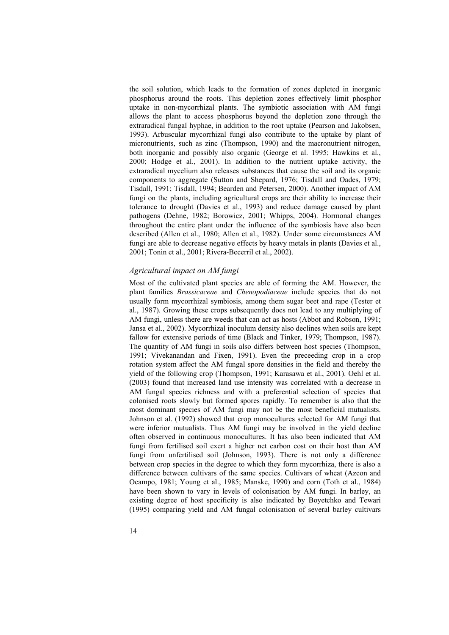the soil solution, which leads to the formation of zones depleted in inorganic phosphorus around the roots. This depletion zones effectively limit phosphor uptake in non-mycorrhizal plants. The symbiotic association with AM fungi allows the plant to access phosphorus beyond the depletion zone through the extraradical fungal hyphae, in addition to the root uptake (Pearson and Jakobsen, 1993). Arbuscular mycorrhizal fungi also contribute to the uptake by plant of micronutrients, such as zinc (Thompson, 1990) and the macronutrient nitrogen, both inorganic and possibly also organic (George et al. 1995; Hawkins et al., 2000; Hodge et al., 2001). In addition to the nutrient uptake activity, the extraradical mycelium also releases substances that cause the soil and its organic components to aggregate (Sutton and Shepard, 1976; Tisdall and Oades, 1979; Tisdall, 1991; Tisdall, 1994; Bearden and Petersen, 2000). Another impact of AM fungi on the plants, including agricultural crops are their ability to increase their tolerance to drought (Davies et al., 1993) and reduce damage caused by plant pathogens (Dehne, 1982; Borowicz, 2001; Whipps, 2004). Hormonal changes throughout the entire plant under the influence of the symbiosis have also been described (Allen et al., 1980; Allen et al., 1982). Under some circumstances AM fungi are able to decrease negative effects by heavy metals in plants (Davies et al., 2001; Tonin et al., 2001; Rivera-Becerril et al., 2002).

#### *Agricultural impact on AM fungi*

Most of the cultivated plant species are able of forming the AM. However, the plant families *Brassicaceae* and *Chenopodiaceae* include species that do not usually form mycorrhizal symbiosis, among them sugar beet and rape (Tester et al., 1987). Growing these crops subsequently does not lead to any multiplying of AM fungi, unless there are weeds that can act as hosts (Abbot and Robson, 1991; Jansa et al., 2002). Mycorrhizal inoculum density also declines when soils are kept fallow for extensive periods of time (Black and Tinker, 1979; Thompson, 1987). The quantity of AM fungi in soils also differs between host species (Thompson, 1991; Vivekanandan and Fixen, 1991). Even the preceeding crop in a crop rotation system affect the AM fungal spore densities in the field and thereby the yield of the following crop (Thompson, 1991; Karasawa et al., 2001). Oehl et al. (2003) found that increased land use intensity was correlated with a decrease in AM fungal species richness and with a preferential selection of species that colonised roots slowly but formed spores rapidly. To remember is also that the most dominant species of AM fungi may not be the most beneficial mutualists. Johnson et al. (1992) showed that crop monocultures selected for AM fungi that were inferior mutualists. Thus AM fungi may be involved in the yield decline often observed in continuous monocultures. It has also been indicated that AM fungi from fertilised soil exert a higher net carbon cost on their host than AM fungi from unfertilised soil (Johnson, 1993). There is not only a difference between crop species in the degree to which they form mycorrhiza, there is also a difference between cultivars of the same species. Cultivars of wheat (Azcon and Ocampo, 1981; Young et al., 1985; Manske, 1990) and corn (Toth et al., 1984) have been shown to vary in levels of colonisation by AM fungi. In barley, an existing degree of host specificity is also indicated by Boyetchko and Tewari (1995) comparing yield and AM fungal colonisation of several barley cultivars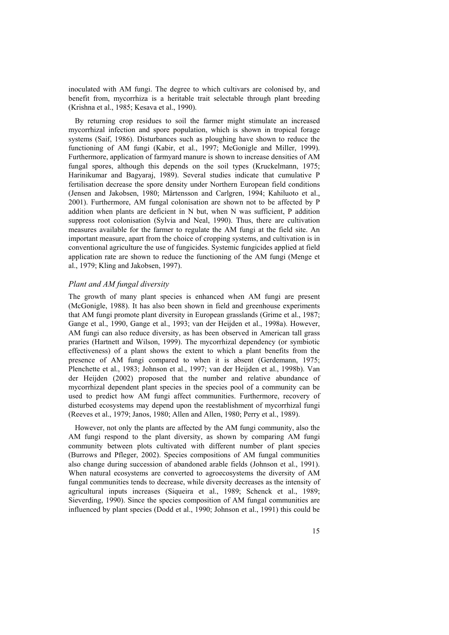inoculated with AM fungi. The degree to which cultivars are colonised by, and benefit from, mycorrhiza is a heritable trait selectable through plant breeding (Krishna et al., 1985; Kesava et al., 1990).

By returning crop residues to soil the farmer might stimulate an increased mycorrhizal infection and spore population, which is shown in tropical forage systems (Saif, 1986). Disturbances such as ploughing have shown to reduce the functioning of AM fungi (Kabir, et al., 1997; McGonigle and Miller, 1999). Furthermore, application of farmyard manure is shown to increase densities of AM fungal spores, although this depends on the soil types (Kruckelmann, 1975; Harinikumar and Bagyaraj, 1989). Several studies indicate that cumulative P fertilisation decrease the spore density under Northern European field conditions (Jensen and Jakobsen, 1980; Mårtensson and Carlgren, 1994; Kahiluoto et al., 2001). Furthermore, AM fungal colonisation are shown not to be affected by P addition when plants are deficient in N but, when N was sufficient, P addition suppress root colonisation (Sylvia and Neal, 1990). Thus, there are cultivation measures available for the farmer to regulate the AM fungi at the field site. An important measure, apart from the choice of cropping systems, and cultivation is in conventional agriculture the use of fungicides. Systemic fungicides applied at field application rate are shown to reduce the functioning of the AM fungi (Menge et al., 1979; Kling and Jakobsen, 1997).

### *Plant and AM fungal diversity*

The growth of many plant species is enhanced when AM fungi are present (McGonigle, 1988). It has also been shown in field and greenhouse experiments that AM fungi promote plant diversity in European grasslands (Grime et al., 1987; Gange et al., 1990, Gange et al., 1993; van der Heijden et al., 1998a). However, AM fungi can also reduce diversity, as has been observed in American tall grass praries (Hartnett and Wilson, 1999). The mycorrhizal dependency (or symbiotic effectiveness) of a plant shows the extent to which a plant benefits from the presence of AM fungi compared to when it is absent (Gerdemann, 1975; Plenchette et al., 1983; Johnson et al., 1997; van der Heijden et al., 1998b). Van der Heijden (2002) proposed that the number and relative abundance of mycorrhizal dependent plant species in the species pool of a community can be used to predict how AM fungi affect communities. Furthermore, recovery of disturbed ecosystems may depend upon the reestablishment of mycorrhizal fungi (Reeves et al., 1979; Janos, 1980; Allen and Allen, 1980; Perry et al., 1989).

However, not only the plants are affected by the AM fungi community, also the AM fungi respond to the plant diversity, as shown by comparing AM fungi community between plots cultivated with different number of plant species (Burrows and Pfleger, 2002). Species compositions of AM fungal communities also change during succession of abandoned arable fields (Johnson et al., 1991). When natural ecosystems are converted to agroecosystems the diversity of AM fungal communities tends to decrease, while diversity decreases as the intensity of agricultural inputs increases (Siqueira et al., 1989; Schenck et al., 1989; Sieverding, 1990). Since the species composition of AM fungal communities are influenced by plant species (Dodd et al., 1990; Johnson et al., 1991) this could be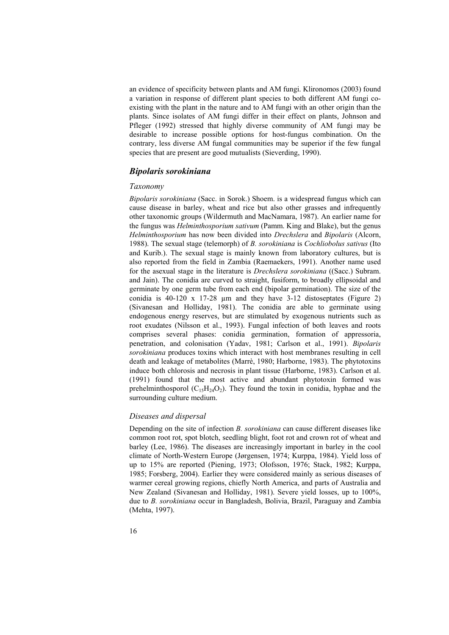an evidence of specificity between plants and AM fungi. Klironomos (2003) found a variation in response of different plant species to both different AM fungi coexisting with the plant in the nature and to AM fungi with an other origin than the plants. Since isolates of AM fungi differ in their effect on plants, Johnson and Pfleger (1992) stressed that highly diverse community of AM fungi may be desirable to increase possible options for host-fungus combination. On the contrary, less diverse AM fungal communities may be superior if the few fungal species that are present are good mutualists (Sieverding, 1990).

## *Bipolaris sorokiniana*

## *Taxonomy*

*Bipolaris sorokiniana* (Sacc. in Sorok.) Shoem. is a widespread fungus which can cause disease in barley, wheat and rice but also other grasses and infrequently other taxonomic groups (Wildermuth and MacNamara, 1987). An earlier name for the fungus was *Helminthosporium sativum* (Pamm. King and Blake), but the genus *Helminthosporium* has now been divided into *Drechslera* and *Bipolaris* (Alcorn, 1988). The sexual stage (telemorph) of *B. sorokiniana* is *Cochliobolus sativus* (Ito and Kurib.). The sexual stage is mainly known from laboratory cultures, but is also reported from the field in Zambia (Raemaekers, 1991). Another name used for the asexual stage in the literature is *Drechslera sorokiniana* ((Sacc.) Subram. and Jain). The conidia are curved to straight, fusiform, to broadly ellipsoidal and germinate by one germ tube from each end (bipolar germination). The size of the conidia is  $40-120 \times 17-28$  µm and they have  $3-12$  distoseptates (Figure 2) (Sivanesan and Holliday, 1981). The conidia are able to germinate using endogenous energy reserves, but are stimulated by exogenous nutrients such as root exudates (Nilsson et al., 1993). Fungal infection of both leaves and roots comprises several phases: conidia germination, formation of appressoria, penetration, and colonisation (Yadav, 1981; Carlson et al., 1991). *Bipolaris sorokiniana* produces toxins which interact with host membranes resulting in cell death and leakage of metabolites (Marrè, 1980; Harborne, 1983). The phytotoxins induce both chlorosis and necrosis in plant tissue (Harborne, 1983). Carlson et al. (1991) found that the most active and abundant phytotoxin formed was prehelminthosporol  $(C_{15}H_{24}O_2)$ . They found the toxin in conidia, hyphae and the surrounding culture medium.

#### *Diseases and dispersal*

Depending on the site of infection *B. sorokiniana* can cause different diseases like common root rot, spot blotch, seedling blight, foot rot and crown rot of wheat and barley (Lee, 1986). The diseases are increasingly important in barley in the cool climate of North-Western Europe (Jørgensen, 1974; Kurppa, 1984). Yield loss of up to 15% are reported (Piening, 1973; Olofsson, 1976; Stack, 1982; Kurppa, 1985; Forsberg, 2004). Earlier they were considered mainly as serious diseases of warmer cereal growing regions, chiefly North America, and parts of Australia and New Zealand (Sivanesan and Holliday, 1981). Severe yield losses, up to 100%, due to *B. sorokiniana* occur in Bangladesh, Bolivia, Brazil, Paraguay and Zambia (Mehta, 1997).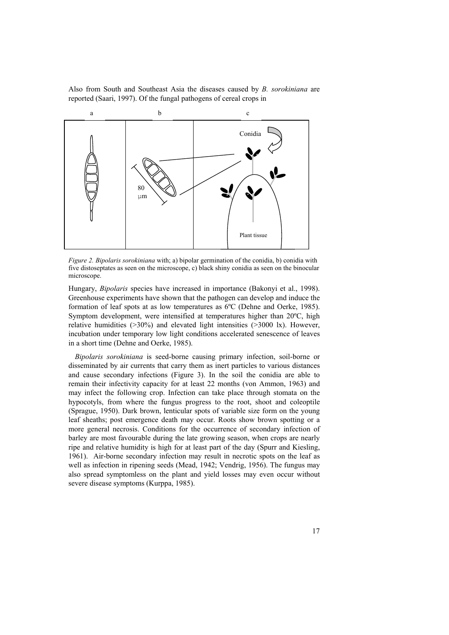Also from South and Southeast Asia the diseases caused by *B. sorokiniana* are reported (Saari, 1997). Of the fungal pathogens of cereal crops in



*Figure 2. Bipolaris sorokiniana* with; a) bipolar germination of the conidia, b) conidia with five distoseptates as seen on the microscope, c) black shiny conidia as seen on the binocular microscope.

Hungary, *Bipolaris* species have increased in importance (Bakonyi et al., 1998). Greenhouse experiments have shown that the pathogen can develop and induce the formation of leaf spots at as low temperatures as 6ºC (Dehne and Oerke, 1985). Symptom development, were intensified at temperatures higher than 20ºC, high relative humidities  $(>30\%)$  and elevated light intensities  $(>3000 \text{ lx})$ . However, incubation under temporary low light conditions accelerated senescence of leaves in a short time (Dehne and Oerke, 1985).

*Bipolaris sorokiniana* is seed-borne causing primary infection, soil-borne or disseminated by air currents that carry them as inert particles to various distances and cause secondary infections (Figure 3). In the soil the conidia are able to remain their infectivity capacity for at least 22 months (von Ammon, 1963) and may infect the following crop. Infection can take place through stomata on the hypocotyls, from where the fungus progress to the root, shoot and coleoptile (Sprague, 1950). Dark brown, lenticular spots of variable size form on the young leaf sheaths; post emergence death may occur. Roots show brown spotting or a more general necrosis. Conditions for the occurrence of secondary infection of barley are most favourable during the late growing season, when crops are nearly ripe and relative humidity is high for at least part of the day (Spurr and Kiesling, 1961). Air-borne secondary infection may result in necrotic spots on the leaf as well as infection in ripening seeds (Mead, 1942; Vendrig, 1956). The fungus may also spread symptomless on the plant and yield losses may even occur without severe disease symptoms (Kurppa, 1985).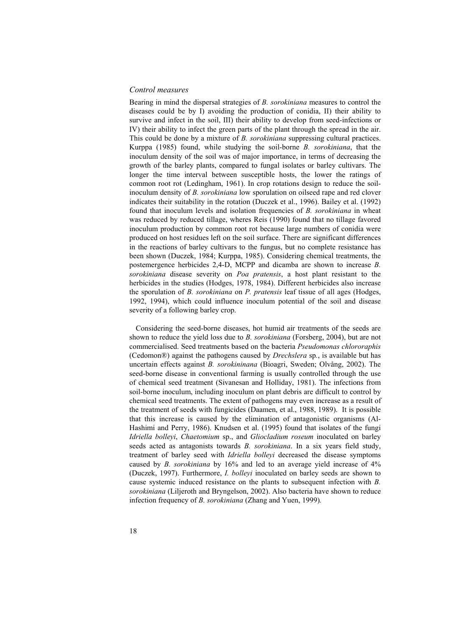### *Control measures*

Bearing in mind the dispersal strategies of *B. sorokiniana* measures to control the diseases could be by I) avoiding the production of conidia, II) their ability to survive and infect in the soil, III) their ability to develop from seed-infections or IV) their ability to infect the green parts of the plant through the spread in the air. This could be done by a mixture of *B. sorokiniana* suppressing cultural practices. Kurppa (1985) found, while studying the soil-borne *B. sorokiniana*, that the inoculum density of the soil was of major importance, in terms of decreasing the growth of the barley plants, compared to fungal isolates or barley cultivars. The longer the time interval between susceptible hosts, the lower the ratings of common root rot (Ledingham, 1961). In crop rotations design to reduce the soilinoculum density of *B. sorokiniana* low sporulation on oilseed rape and red clover indicates their suitability in the rotation (Duczek et al., 1996). Bailey et al. (1992) found that inoculum levels and isolation frequencies of *B. sorokiniana* in wheat was reduced by reduced tillage, wheres Reis (1990) found that no tillage favored inoculum production by common root rot because large numbers of conidia were produced on host residues left on the soil surface. There are significant differences in the reactions of barley cultivars to the fungus, but no complete resistance has been shown (Duczek, 1984; Kurppa, 1985). Considering chemical treatments, the postemergence herbicides 2,4-D, MCPP and dicamba are shown to increase *B. sorokiniana* disease severity on *Poa pratensis*, a host plant resistant to the herbicides in the studies (Hodges, 1978, 1984). Different herbicides also increase the sporulation of *B. sorokiniana* on *P. pratensis* leaf tissue of all ages (Hodges, 1992, 1994), which could influence inoculum potential of the soil and disease severity of a following barley crop.

Considering the seed-borne diseases, hot humid air treatments of the seeds are shown to reduce the yield loss due to *B. sorokiniana* (Forsberg, 2004), but are not commercialised. Seed treatments based on the bacteria *Pseudomonas chlororaphis* (Cedomon®) against the pathogens caused by *Drechslera* sp*.*, is available but has uncertain effects against *B. sorokininana* (Bioagri, Sweden; Olvång, 2002). The seed-borne disease in conventional farming is usually controlled through the use of chemical seed treatment (Sivanesan and Holliday, 1981). The infections from soil-borne inoculum, including inoculum on plant debris are difficult to control by chemical seed treatments. The extent of pathogens may even increase as a result of the treatment of seeds with fungicides (Daamen, et al., 1988, 1989). It is possible that this increase is caused by the elimination of antagonistic organisms (Al-Hashimi and Perry, 1986). Knudsen et al. (1995) found that isolates of the fungi *Idriella bolleyi*, *Chaetomium* sp., and *Gliocladium roseum* inoculated on barley seeds acted as antagonists towards *B. sorokiniana*. In a six years field study, treatment of barley seed with *Idriella bolleyi* decreased the disease symptoms caused by *B. sorokiniana* by 16% and led to an average yield increase of 4% (Duczek, 1997). Furthermore, *I. bolleyi* inoculated on barley seeds are shown to cause systemic induced resistance on the plants to subsequent infection with *B. sorokiniana* (Liljeroth and Bryngelson, 2002). Also bacteria have shown to reduce infection frequency of *B. sorokiniana* (Zhang and Yuen, 1999)*.*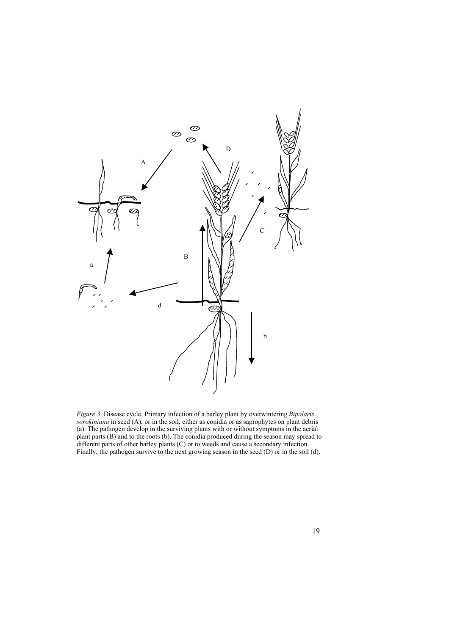

*Figure 3*. Disease cycle. Primary infection of a barley plant by overwintering *Bipolaris sorokiniana* in seed (A), or in the soil, either as conidia or as saprophytes on plant debris (a). The pathogen develop in the surviving plants with or without symptoms in the aerial plant parts (B) and to the roots (b). The conidia produced during the season may spread to different parts of other barley plants (C) or to weeds and cause a secondary infection. Finally, the pathogen survive to the next growing season in the seed (D) or in the soil (d).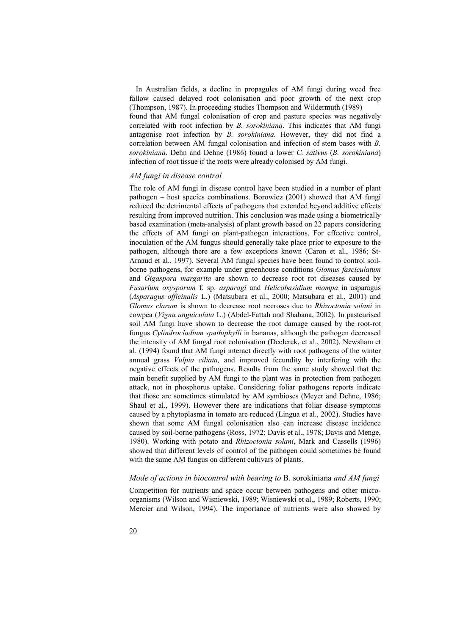In Australian fields, a decline in propagules of AM fungi during weed free fallow caused delayed root colonisation and poor growth of the next crop (Thompson, 1987). In proceeding studies Thompson and Wildermuth (1989) found that AM fungal colonisation of crop and pasture species was negatively correlated with root infection by *B. sorokiniana*. This indicates that AM fungi antagonise root infection by *B. sorokiniana.* However, they did not find a correlation between AM fungal colonisation and infection of stem bases with *B. sorokiniana*. Dehn and Dehne (1986) found a lower *C. sativus* (*B. sorokiniana*) infection of root tissue if the roots were already colonised by AM fungi.

#### *AM fungi in disease control*

The role of AM fungi in disease control have been studied in a number of plant pathogen – host species combinations. Borowicz (2001) showed that AM fungi reduced the detrimental effects of pathogens that extended beyond additive effects resulting from improved nutrition. This conclusion was made using a biometrically based examination (meta-analysis) of plant growth based on 22 papers considering the effects of AM fungi on plant-pathogen interactions. For effective control, inoculation of the AM fungus should generally take place prior to exposure to the pathogen, although there are a few exceptions known (Caron et al., 1986; St-Arnaud et al., 1997). Several AM fungal species have been found to control soilborne pathogens, for example under greenhouse conditions *Glomus fasciculatum* and *Gigaspora margarita* are shown to decrease root rot diseases caused by *Fusarium oxysporum* f. sp. *asparagi* and *Helicobasidium mompa* in asparagus (*Asparagus officinalis* L.) (Matsubara et al., 2000; Matsubara et al., 2001) and *Glomus clarum* is shown to decrease root necroses due to *Rhizoctonia solani* in cowpea (*Vigna unguiculata* L.) (Abdel-Fattah and Shabana, 2002). In pasteurised soil AM fungi have shown to decrease the root damage caused by the root-rot fungus *Cylindrocladium spathiphylli* in bananas, although the pathogen decreased the intensity of AM fungal root colonisation (Declerck, et al., 2002). Newsham et al. (1994) found that AM fungi interact directly with root pathogens of the winter annual grass *Vulpia ciliata,* and improved fecundity by interfering with the negative effects of the pathogens. Results from the same study showed that the main benefit supplied by AM fungi to the plant was in protection from pathogen attack, not in phosphorus uptake. Considering foliar pathogens reports indicate that those are sometimes stimulated by AM symbioses (Meyer and Dehne, 1986; Shaul et al., 1999). However there are indications that foliar disease symptoms caused by a phytoplasma in tomato are reduced (Lingua et al., 2002). Studies have shown that some AM fungal colonisation also can increase disease incidence caused by soil-borne pathogens (Ross, 1972; Davis et al., 1978; Davis and Menge, 1980). Working with potato and *Rhizoctonia solani*, Mark and Cassells (1996) showed that different levels of control of the pathogen could sometimes be found with the same AM fungus on different cultivars of plants.

#### *Mode of actions in biocontrol with bearing to* B. sorokiniana *and AM fungi*

Competition for nutrients and space occur between pathogens and other microorganisms (Wilson and Wisniewski, 1989; Wisniewski et al., 1989; Roberts, 1990; Mercier and Wilson, 1994). The importance of nutrients were also showed by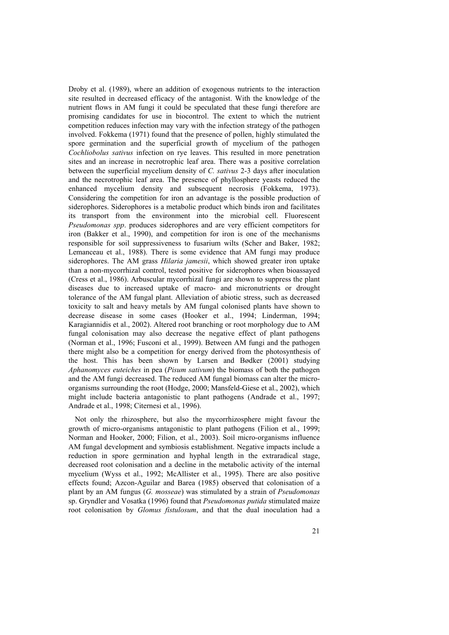Droby et al. (1989), where an addition of exogenous nutrients to the interaction site resulted in decreased efficacy of the antagonist. With the knowledge of the nutrient flows in AM fungi it could be speculated that these fungi therefore are promising candidates for use in biocontrol. The extent to which the nutrient competition reduces infection may vary with the infection strategy of the pathogen involved. Fokkema (1971) found that the presence of pollen, highly stimulated the spore germination and the superficial growth of mycelium of the pathogen *Cochliobolus sativus* infection on rye leaves. This resulted in more penetration sites and an increase in necrotrophic leaf area. There was a positive correlation between the superficial mycelium density of *C. sativus* 2-3 days after inoculation and the necrotrophic leaf area. The presence of phyllosphere yeasts reduced the enhanced mycelium density and subsequent necrosis (Fokkema, 1973). Considering the competition for iron an advantage is the possible production of siderophores. Siderophores is a metabolic product which binds iron and facilitates its transport from the environment into the microbial cell. Fluorescent *Pseudomonas spp*. produces siderophores and are very efficient competitors for iron (Bakker et al., 1990), and competition for iron is one of the mechanisms responsible for soil suppressiveness to fusarium wilts (Scher and Baker, 1982; Lemanceau et al., 1988). There is some evidence that AM fungi may produce siderophores. The AM grass *Hilaria jamesii*, which showed greater iron uptake than a non-mycorrhizal control, tested positive for siderophores when bioassayed (Cress et al., 1986). Arbuscular mycorrhizal fungi are shown to suppress the plant diseases due to increased uptake of macro- and micronutrients or drought tolerance of the AM fungal plant. Alleviation of abiotic stress, such as decreased toxicity to salt and heavy metals by AM fungal colonised plants have shown to decrease disease in some cases (Hooker et al., 1994; Linderman, 1994; Karagiannidis et al., 2002). Altered root branching or root morphology due to AM fungal colonisation may also decrease the negative effect of plant pathogens (Norman et al., 1996; Fusconi et al., 1999). Between AM fungi and the pathogen there might also be a competition for energy derived from the photosynthesis of the host. This has been shown by Larsen and Bødker (2001) studying *Aphanomyces euteiches* in pea (*Pisum sativum*) the biomass of both the pathogen and the AM fungi decreased. The reduced AM fungal biomass can alter the microorganisms surrounding the root (Hodge, 2000; Mansfeld-Giese et al., 2002), which might include bacteria antagonistic to plant pathogens (Andrade et al., 1997; Andrade et al., 1998; Citernesi et al., 1996).

Not only the rhizosphere, but also the mycorrhizosphere might favour the growth of micro-organisms antagonistic to plant pathogens (Filion et al., 1999; Norman and Hooker, 2000; Filion, et al., 2003). Soil micro-organisms influence AM fungal development and symbiosis establishment. Negative impacts include a reduction in spore germination and hyphal length in the extraradical stage, decreased root colonisation and a decline in the metabolic activity of the internal mycelium (Wyss et al., 1992; McAllister et al., 1995). There are also positive effects found; Azcon-Aguilar and Barea (1985) observed that colonisation of a plant by an AM fungus (*G. mosseae*) was stimulated by a strain of *Pseudomonas*  sp. Gryndler and Vosatka (1996) found that *Pseudomonas putida* stimulated maize root colonisation by *Glomus fistulosum*, and that the dual inoculation had a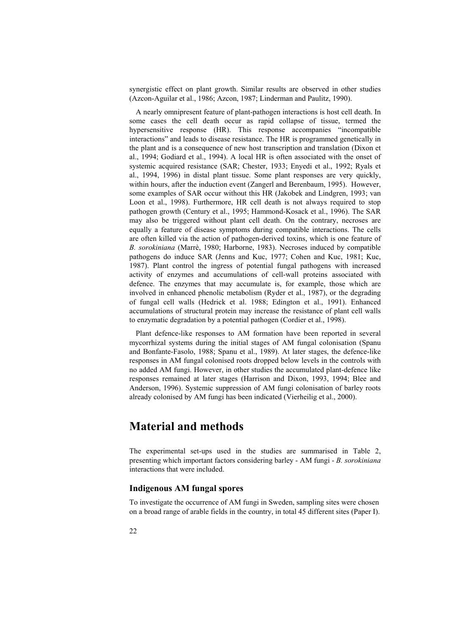synergistic effect on plant growth. Similar results are observed in other studies (Azcon-Aguilar et al., 1986; Azcon, 1987; Linderman and Paulitz, 1990).

A nearly omnipresent feature of plant-pathogen interactions is host cell death. In some cases the cell death occur as rapid collapse of tissue, termed the hypersensitive response (HR). This response accompanies "incompatible interactions" and leads to disease resistance. The HR is programmed genetically in the plant and is a consequence of new host transcription and translation (Dixon et al., 1994; Godiard et al., 1994). A local HR is often associated with the onset of systemic acquired resistance (SAR; Chester, 1933; Enyedi et al., 1992; Ryals et al., 1994, 1996) in distal plant tissue. Some plant responses are very quickly, within hours, after the induction event (Zangerl and Berenbaum, 1995). However, some examples of SAR occur without this HR (Jakobek and Lindgren, 1993; van Loon et al., 1998). Furthermore, HR cell death is not always required to stop pathogen growth (Century et al., 1995; Hammond-Kosack et al., 1996). The SAR may also be triggered without plant cell death. On the contrary, necroses are equally a feature of disease symptoms during compatible interactions. The cells are often killed via the action of pathogen-derived toxins, which is one feature of *B. sorokiniana* (Marrè, 1980; Harborne, 1983). Necroses induced by compatible pathogens do induce SAR (Jenns and Kuc, 1977; Cohen and Kuc, 1981; Kuc, 1987). Plant control the ingress of potential fungal pathogens with increased activity of enzymes and accumulations of cell-wall proteins associated with defence. The enzymes that may accumulate is, for example, those which are involved in enhanced phenolic metabolism (Ryder et al., 1987), or the degrading of fungal cell walls (Hedrick et al. 1988; Edington et al., 1991). Enhanced accumulations of structural protein may increase the resistance of plant cell walls to enzymatic degradation by a potential pathogen (Cordier et al., 1998).

Plant defence-like responses to AM formation have been reported in several mycorrhizal systems during the initial stages of AM fungal colonisation (Spanu and Bonfante-Fasolo, 1988; Spanu et al., 1989). At later stages, the defence-like responses in AM fungal colonised roots dropped below levels in the controls with no added AM fungi. However, in other studies the accumulated plant-defence like responses remained at later stages (Harrison and Dixon, 1993, 1994; Blee and Anderson, 1996). Systemic suppression of AM fungi colonisation of barley roots already colonised by AM fungi has been indicated (Vierheilig et al., 2000).

# **Material and methods**

The experimental set-ups used in the studies are summarised in Table 2, presenting which important factors considering barley - AM fungi - *B. sorokiniana* interactions that were included.

## **Indigenous AM fungal spores**

To investigate the occurrence of AM fungi in Sweden, sampling sites were chosen on a broad range of arable fields in the country, in total 45 different sites (Paper I).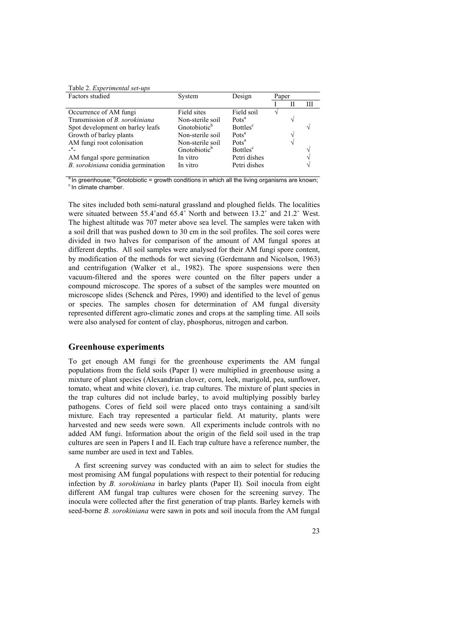Table 2. *Experimental set-ups* 

| Factors studied                       | System                   | Design                      | Paper |   |   |
|---------------------------------------|--------------------------|-----------------------------|-------|---|---|
|                                       |                          |                             |       | Ш | Ш |
| Occurrence of AM fungi                | Field sites              | Field soil                  |       |   |   |
| Transmission of <i>B. sorokiniana</i> | Non-sterile soil         | Pots <sup>a</sup>           |       |   |   |
| Spot development on barley leafs      | Gnotobiotic <sup>b</sup> | <b>Bottles</b> <sup>c</sup> |       |   |   |
| Growth of barley plants               | Non-sterile soil         | Pots <sup>a</sup>           |       |   |   |
| AM fungi root colonisation            | Non-sterile soil         | Pots <sup>a</sup>           |       |   |   |
|                                       | Gnotobiotic <sup>b</sup> | <b>Bottles</b> <sup>c</sup> |       |   |   |
| AM fungal spore germination           | In vitro                 | Petri dishes                |       |   |   |
| B. sorokiniana conidia germination    | In vitro                 | Petri dishes                |       |   |   |

<sup>a</sup> In greenhouse;  $\frac{b}{c}$  Gnotobiotic = growth conditions in which all the living organisms are known;  $\frac{c}{c}$  In climate chamber.

The sites included both semi-natural grassland and ploughed fields. The localities were situated between 55.4°and 65.4° North and between 13.2° and 21.2° West. The highest altitude was 707 meter above sea level. The samples were taken with a soil drill that was pushed down to 30 cm in the soil profiles. The soil cores were divided in two halves for comparison of the amount of AM fungal spores at different depths. All soil samples were analysed for their AM fungi spore content, by modification of the methods for wet sieving (Gerdemann and Nicolson, 1963) and centrifugation (Walker et al., 1982). The spore suspensions were then vacuum-filtered and the spores were counted on the filter papers under a compound microscope. The spores of a subset of the samples were mounted on microscope slides (Schenck and Péres, 1990) and identified to the level of genus or species. The samples chosen for determination of AM fungal diversity represented different agro-climatic zones and crops at the sampling time. All soils were also analysed for content of clay, phosphorus, nitrogen and carbon.

### **Greenhouse experiments**

To get enough AM fungi for the greenhouse experiments the AM fungal populations from the field soils (Paper I) were multiplied in greenhouse using a mixture of plant species (Alexandrian clover, corn, leek, marigold, pea, sunflower, tomato, wheat and white clover), i.e. trap cultures. The mixture of plant species in the trap cultures did not include barley, to avoid multiplying possibly barley pathogens. Cores of field soil were placed onto trays containing a sand/silt mixture. Each tray represented a particular field. At maturity, plants were harvested and new seeds were sown. All experiments include controls with no added AM fungi. Information about the origin of the field soil used in the trap cultures are seen in Papers I and II. Each trap culture have a reference number, the same number are used in text and Tables.

A first screening survey was conducted with an aim to select for studies the most promising AM fungal populations with respect to their potential for reducing infection by *B. sorokiniana* in barley plants (Paper II)*.* Soil inocula from eight different AM fungal trap cultures were chosen for the screening survey. The inocula were collected after the first generation of trap plants. Barley kernels with seed-borne *B. sorokiniana* were sawn in pots and soil inocula from the AM fungal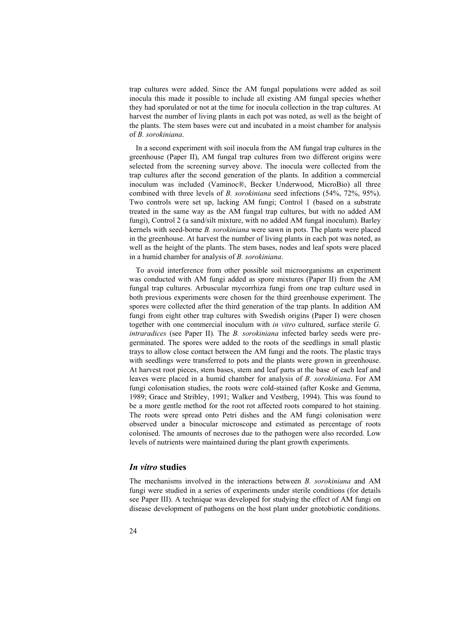trap cultures were added. Since the AM fungal populations were added as soil inocula this made it possible to include all existing AM fungal species whether they had sporulated or not at the time for inocula collection in the trap cultures. At harvest the number of living plants in each pot was noted, as well as the height of the plants. The stem bases were cut and incubated in a moist chamber for analysis of *B. sorokiniana*.

In a second experiment with soil inocula from the AM fungal trap cultures in the greenhouse (Paper II), AM fungal trap cultures from two different origins were selected from the screening survey above. The inocula were collected from the trap cultures after the second generation of the plants. In addition a commercial inoculum was included (Vaminoc®, Becker Underwood, MicroBio) all three combined with three levels of *B. sorokiniana* seed infections (54%, 72%, 95%). Two controls were set up, lacking AM fungi; Control 1 (based on a substrate treated in the same way as the AM fungal trap cultures, but with no added AM fungi), Control 2 (a sand/silt mixture, with no added AM fungal inoculum). Barley kernels with seed-borne *B. sorokiniana* were sawn in pots. The plants were placed in the greenhouse. At harvest the number of living plants in each pot was noted, as well as the height of the plants. The stem bases, nodes and leaf spots were placed in a humid chamber for analysis of *B. sorokiniana*.

To avoid interference from other possible soil microorganisms an experiment was conducted with AM fungi added as spore mixtures (Paper II) from the AM fungal trap cultures. Arbuscular mycorrhiza fungi from one trap culture used in both previous experiments were chosen for the third greenhouse experiment. The spores were collected after the third generation of the trap plants. In addition AM fungi from eight other trap cultures with Swedish origins (Paper I) were chosen together with one commercial inoculum with *in vitro* cultured, surface sterile *G. intraradices* (see Paper II)*.* The *B. sorokiniana* infected barley seeds were pregerminated. The spores were added to the roots of the seedlings in small plastic trays to allow close contact between the AM fungi and the roots. The plastic trays with seedlings were transferred to pots and the plants were grown in greenhouse. At harvest root pieces, stem bases, stem and leaf parts at the base of each leaf and leaves were placed in a humid chamber for analysis of *B. sorokiniana*. For AM fungi colonisation studies, the roots were cold-stained (after Koske and Gemma, 1989; Grace and Stribley, 1991; Walker and Vestberg, 1994). This was found to be a more gentle method for the root rot affected roots compared to hot staining. The roots were spread onto Petri dishes and the AM fungi colonisation were observed under a binocular microscope and estimated as percentage of roots colonised. The amounts of necroses due to the pathogen were also recorded. Low levels of nutrients were maintained during the plant growth experiments.

### *In vitro* **studies**

The mechanisms involved in the interactions between *B. sorokiniana* and AM fungi were studied in a series of experiments under sterile conditions (for details see Paper III). A technique was developed for studying the effect of AM fungi on disease development of pathogens on the host plant under gnotobiotic conditions.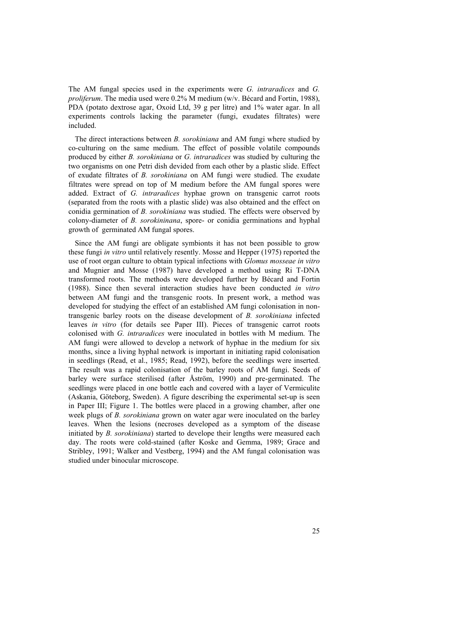The AM fungal species used in the experiments were *G. intraradices* and *G. proliferum*. The media used were 0.2% M medium (w/v. Bécard and Fortin, 1988), PDA (potato dextrose agar, Oxoid Ltd, 39 g per litre) and 1% water agar. In all experiments controls lacking the parameter (fungi, exudates filtrates) were included.

The direct interactions between *B. sorokiniana* and AM fungi where studied by co-culturing on the same medium. The effect of possible volatile compounds produced by either *B. sorokiniana* or *G. intraradices* was studied by culturing the two organisms on one Petri dish devided from each other by a plastic slide. Effect of exudate filtrates of *B. sorokiniana* on AM fungi were studied. The exudate filtrates were spread on top of M medium before the AM fungal spores were added. Extract of *G. intraradices* hyphae grown on transgenic carrot roots (separated from the roots with a plastic slide) was also obtained and the effect on conidia germination of *B. sorokiniana* was studied. The effects were observed by colony-diameter of *B. sorokininana*, spore- or conidia germinations and hyphal growth of germinated AM fungal spores.

Since the AM fungi are obligate symbionts it has not been possible to grow these fungi *in vitro* until relatively resently. Mosse and Hepper (1975) reported the use of root organ culture to obtain typical infections with *Glomus mosseae in vitro* and Mugnier and Mosse (1987) have developed a method using Ri T-DNA transformed roots. The methods were developed further by Bécard and Fortin (1988). Since then several interaction studies have been conducted *in vitro* between AM fungi and the transgenic roots. In present work, a method was developed for studying the effect of an established AM fungi colonisation in nontransgenic barley roots on the disease development of *B. sorokiniana* infected leaves *in vitro* (for details see Paper III). Pieces of transgenic carrot roots colonised with *G. intraradices* were inoculated in bottles with M medium. The AM fungi were allowed to develop a network of hyphae in the medium for six months, since a living hyphal network is important in initiating rapid colonisation in seedlings (Read, et al., 1985; Read, 1992), before the seedlings were inserted. The result was a rapid colonisation of the barley roots of AM fungi. Seeds of barley were surface sterilised (after Åström, 1990) and pre-germinated. The seedlings were placed in one bottle each and covered with a layer of Vermiculite (Askania, Göteborg, Sweden). A figure describing the experimental set-up is seen in Paper III; Figure 1. The bottles were placed in a growing chamber, after one week plugs of *B. sorokiniana* grown on water agar were inoculated on the barley leaves. When the lesions (necroses developed as a symptom of the disease initiated by *B. sorokiniana*) started to develope their lengths were measured each day. The roots were cold-stained (after Koske and Gemma, 1989; Grace and Stribley, 1991; Walker and Vestberg, 1994) and the AM fungal colonisation was studied under binocular microscope.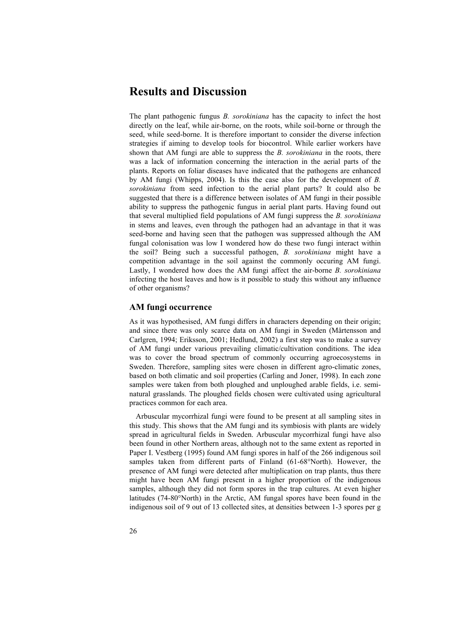# **Results and Discussion**

The plant pathogenic fungus *B. sorokiniana* has the capacity to infect the host directly on the leaf, while air-borne, on the roots, while soil-borne or through the seed, while seed-borne. It is therefore important to consider the diverse infection strategies if aiming to develop tools for biocontrol. While earlier workers have shown that AM fungi are able to suppress the *B. sorokiniana* in the roots, there was a lack of information concerning the interaction in the aerial parts of the plants. Reports on foliar diseases have indicated that the pathogens are enhanced by AM fungi (Whipps, 2004). Is this the case also for the development of *B. sorokiniana* from seed infection to the aerial plant parts? It could also be suggested that there is a difference between isolates of AM fungi in their possible ability to suppress the pathogenic fungus in aerial plant parts. Having found out that several multiplied field populations of AM fungi suppress the *B. sorokiniana* in stems and leaves, even through the pathogen had an advantage in that it was seed-borne and having seen that the pathogen was suppressed although the AM fungal colonisation was low I wondered how do these two fungi interact within the soil? Being such a successful pathogen, *B. sorokiniana* might have a competition advantage in the soil against the commonly occuring AM fungi. Lastly, I wondered how does the AM fungi affect the air-borne *B. sorokiniana* infecting the host leaves and how is it possible to study this without any influence of other organisms?

## **AM fungi occurrence**

As it was hypothesised, AM fungi differs in characters depending on their origin; and since there was only scarce data on AM fungi in Sweden (Mårtensson and Carlgren, 1994; Eriksson, 2001; Hedlund, 2002) a first step was to make a survey of AM fungi under various prevailing climatic/cultivation conditions. The idea was to cover the broad spectrum of commonly occurring agroecosystems in Sweden. Therefore, sampling sites were chosen in different agro-climatic zones, based on both climatic and soil properties (Carling and Joner, 1998). In each zone samples were taken from both ploughed and unploughed arable fields, i.e. seminatural grasslands. The ploughed fields chosen were cultivated using agricultural practices common for each area.

Arbuscular mycorrhizal fungi were found to be present at all sampling sites in this study. This shows that the AM fungi and its symbiosis with plants are widely spread in agricultural fields in Sweden. Arbuscular mycorrhizal fungi have also been found in other Northern areas, although not to the same extent as reported in Paper I. Vestberg (1995) found AM fungi spores in half of the 266 indigenous soil samples taken from different parts of Finland (61-68°North). However, the presence of AM fungi were detected after multiplication on trap plants, thus there might have been AM fungi present in a higher proportion of the indigenous samples, although they did not form spores in the trap cultures. At even higher latitudes (74-80°North) in the Arctic, AM fungal spores have been found in the indigenous soil of 9 out of 13 collected sites, at densities between 1-3 spores per g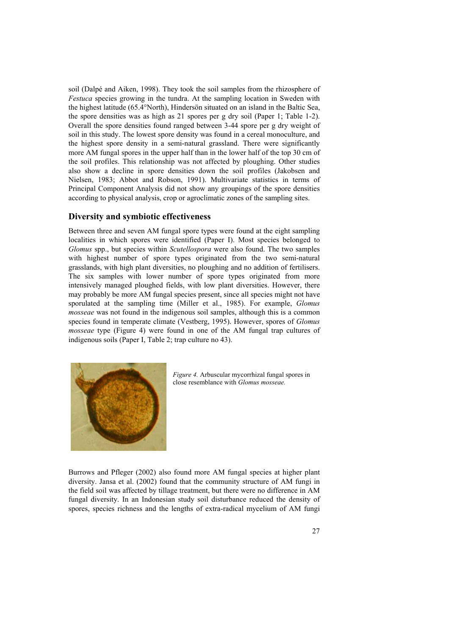soil (Dalpé and Aiken, 1998). They took the soil samples from the rhizosphere of *Festuca* species growing in the tundra. At the sampling location in Sweden with the highest latitude (65.4°North), Hindersön situated on an island in the Baltic Sea, the spore densities was as high as 21 spores per g dry soil (Paper 1; Table 1-2). Overall the spore densities found ranged between 3-44 spore per g dry weight of soil in this study. The lowest spore density was found in a cereal monoculture, and the highest spore density in a semi-natural grassland. There were significantly more AM fungal spores in the upper half than in the lower half of the top 30 cm of the soil profiles. This relationship was not affected by ploughing. Other studies also show a decline in spore densities down the soil profiles (Jakobsen and Nielsen, 1983; Abbot and Robson, 1991). Multivariate statistics in terms of Principal Component Analysis did not show any groupings of the spore densities according to physical analysis, crop or agroclimatic zones of the sampling sites.

## **Diversity and symbiotic effectiveness**

Between three and seven AM fungal spore types were found at the eight sampling localities in which spores were identified (Paper I). Most species belonged to *Glomus* spp., but species within *Scutellospora* were also found. The two samples with highest number of spore types originated from the two semi-natural grasslands, with high plant diversities, no ploughing and no addition of fertilisers. The six samples with lower number of spore types originated from more intensively managed ploughed fields, with low plant diversities. However, there may probably be more AM fungal species present, since all species might not have sporulated at the sampling time (Miller et al., 1985). For example, *Glomus mosseae* was not found in the indigenous soil samples, although this is a common species found in temperate climate (Vestberg, 1995). However, spores of *Glomus mosseae* type (Figure 4) were found in one of the AM fungal trap cultures of indigenous soils (Paper I, Table 2; trap culture no 43).



*Figure 4.* Arbuscular mycorrhizal fungal spores in close resemblance with *Glomus mosseae.* 

Burrows and Pfleger (2002) also found more AM fungal species at higher plant diversity. Jansa et al. (2002) found that the community structure of AM fungi in the field soil was affected by tillage treatment, but there were no difference in AM fungal diversity. In an Indonesian study soil disturbance reduced the density of spores, species richness and the lengths of extra-radical mycelium of AM fungi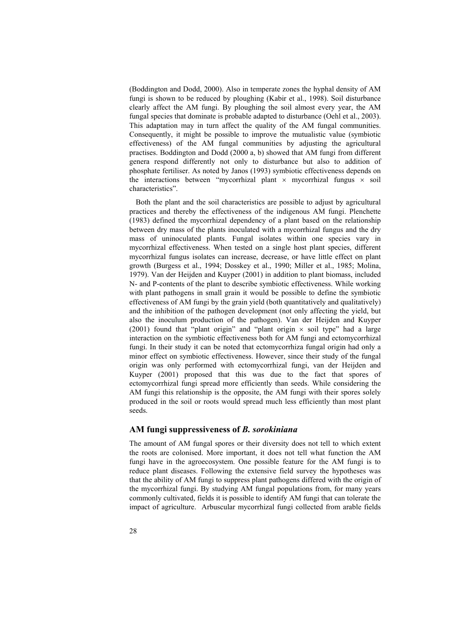(Boddington and Dodd, 2000). Also in temperate zones the hyphal density of AM fungi is shown to be reduced by ploughing (Kabir et al., 1998). Soil disturbance clearly affect the AM fungi. By ploughing the soil almost every year, the AM fungal species that dominate is probable adapted to disturbance (Oehl et al., 2003). This adaptation may in turn affect the quality of the AM fungal communities. Consequently, it might be possible to improve the mutualistic value (symbiotic effectiveness) of the AM fungal communities by adjusting the agricultural practises. Boddington and Dodd (2000 a, b) showed that AM fungi from different genera respond differently not only to disturbance but also to addition of phosphate fertiliser. As noted by Janos (1993) symbiotic effectiveness depends on the interactions between "mycorrhizal plant  $\times$  mycorrhizal fungus  $\times$  soil characteristics".

Both the plant and the soil characteristics are possible to adjust by agricultural practices and thereby the effectiveness of the indigenous AM fungi. Plenchette (1983) defined the mycorrhizal dependency of a plant based on the relationship between dry mass of the plants inoculated with a mycorrhizal fungus and the dry mass of uninoculated plants. Fungal isolates within one species vary in mycorrhizal effectiveness. When tested on a single host plant species, different mycorrhizal fungus isolates can increase, decrease, or have little effect on plant growth (Burgess et al., 1994; Dosskey et al., 1990; Miller et al., 1985; Molina, 1979). Van der Heijden and Kuyper (2001) in addition to plant biomass, included N- and P-contents of the plant to describe symbiotic effectiveness. While working with plant pathogens in small grain it would be possible to define the symbiotic effectiveness of AM fungi by the grain yield (both quantitatively and qualitatively) and the inhibition of the pathogen development (not only affecting the yield, but also the inoculum production of the pathogen). Van der Heijden and Kuyper (2001) found that "plant origin" and "plant origin  $\times$  soil type" had a large interaction on the symbiotic effectiveness both for AM fungi and ectomycorrhizal fungi. In their study it can be noted that ectomycorrhiza fungal origin had only a minor effect on symbiotic effectiveness. However, since their study of the fungal origin was only performed with ectomycorrhizal fungi, van der Heijden and Kuyper (2001) proposed that this was due to the fact that spores of ectomycorrhizal fungi spread more efficiently than seeds. While considering the AM fungi this relationship is the opposite, the AM fungi with their spores solely produced in the soil or roots would spread much less efficiently than most plant seeds.

### **AM fungi suppressiveness of** *B. sorokiniana*

The amount of AM fungal spores or their diversity does not tell to which extent the roots are colonised. More important, it does not tell what function the AM fungi have in the agroecosystem. One possible feature for the AM fungi is to reduce plant diseases. Following the extensive field survey the hypotheses was that the ability of AM fungi to suppress plant pathogens differed with the origin of the mycorrhizal fungi. By studying AM fungal populations from, for many years commonly cultivated, fields it is possible to identify AM fungi that can tolerate the impact of agriculture. Arbuscular mycorrhizal fungi collected from arable fields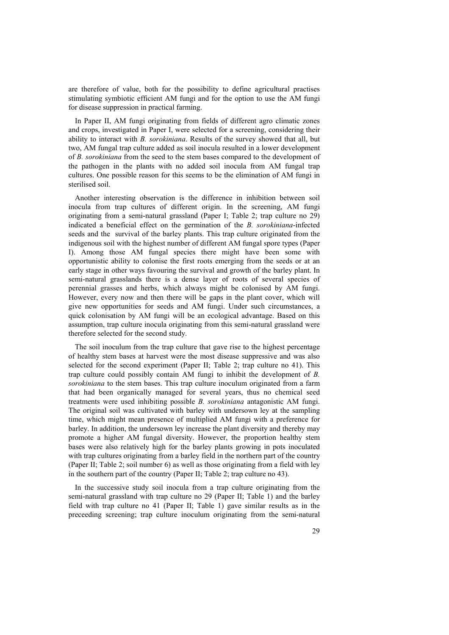are therefore of value, both for the possibility to define agricultural practises stimulating symbiotic efficient AM fungi and for the option to use the AM fungi for disease suppression in practical farming.

In Paper II, AM fungi originating from fields of different agro climatic zones and crops, investigated in Paper I, were selected for a screening, considering their ability to interact with *B. sorokiniana*. Results of the survey showed that all, but two, AM fungal trap culture added as soil inocula resulted in a lower development of *B. sorokiniana* from the seed to the stem bases compared to the development of the pathogen in the plants with no added soil inocula from AM fungal trap cultures. One possible reason for this seems to be the elimination of AM fungi in sterilised soil.

Another interesting observation is the difference in inhibition between soil inocula from trap cultures of different origin. In the screening, AM fungi originating from a semi-natural grassland (Paper I; Table 2; trap culture no 29) indicated a beneficial effect on the germination of the *B. sorokiniana*-infected seeds and the survival of the barley plants. This trap culture originated from the indigenous soil with the highest number of different AM fungal spore types (Paper I). Among those AM fungal species there might have been some with opportunistic ability to colonise the first roots emerging from the seeds or at an early stage in other ways favouring the survival and growth of the barley plant. In semi-natural grasslands there is a dense layer of roots of several species of perennial grasses and herbs, which always might be colonised by AM fungi. However, every now and then there will be gaps in the plant cover, which will give new opportunities for seeds and AM fungi. Under such circumstances, a quick colonisation by AM fungi will be an ecological advantage. Based on this assumption, trap culture inocula originating from this semi-natural grassland were therefore selected for the second study.

The soil inoculum from the trap culture that gave rise to the highest percentage of healthy stem bases at harvest were the most disease suppressive and was also selected for the second experiment (Paper II; Table 2; trap culture no 41). This trap culture could possibly contain AM fungi to inhibit the development of *B. sorokiniana* to the stem bases. This trap culture inoculum originated from a farm that had been organically managed for several years, thus no chemical seed treatments were used inhibiting possible *B. sorokiniana* antagonistic AM fungi. The original soil was cultivated with barley with undersown ley at the sampling time, which might mean presence of multiplied AM fungi with a preference for barley. In addition, the undersown ley increase the plant diversity and thereby may promote a higher AM fungal diversity. However, the proportion healthy stem bases were also relatively high for the barley plants growing in pots inoculated with trap cultures originating from a barley field in the northern part of the country (Paper II; Table 2; soil number 6) as well as those originating from a field with ley in the southern part of the country (Paper II; Table 2; trap culture no 43).

In the successive study soil inocula from a trap culture originating from the semi-natural grassland with trap culture no 29 (Paper II; Table 1) and the barley field with trap culture no 41 (Paper II; Table 1) gave similar results as in the preceeding screening; trap culture inoculum originating from the semi-natural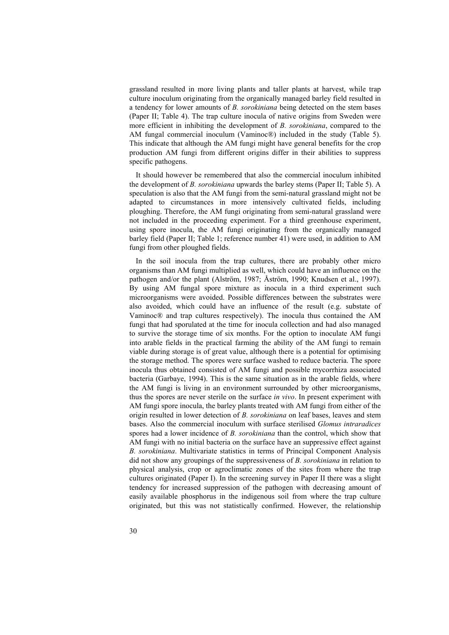grassland resulted in more living plants and taller plants at harvest, while trap culture inoculum originating from the organically managed barley field resulted in a tendency for lower amounts of *B. sorokiniana* being detected on the stem bases (Paper II; Table 4). The trap culture inocula of native origins from Sweden were more efficient in inhibiting the development of *B. sorokiniana*, compared to the AM fungal commercial inoculum (Vaminoc®) included in the study (Table 5). This indicate that although the AM fungi might have general benefits for the crop production AM fungi from different origins differ in their abilities to suppress specific pathogens.

It should however be remembered that also the commercial inoculum inhibited the development of *B. sorokiniana* upwards the barley stems (Paper II; Table 5). A speculation is also that the AM fungi from the semi-natural grassland might not be adapted to circumstances in more intensively cultivated fields, including ploughing. Therefore, the AM fungi originating from semi-natural grassland were not included in the proceeding experiment. For a third greenhouse experiment, using spore inocula, the AM fungi originating from the organically managed barley field (Paper II; Table 1; reference number 41) were used, in addition to AM fungi from other ploughed fields.

In the soil inocula from the trap cultures, there are probably other micro organisms than AM fungi multiplied as well, which could have an influence on the pathogen and/or the plant (Alström, 1987; Åström, 1990; Knudsen et al., 1997). By using AM fungal spore mixture as inocula in a third experiment such microorganisms were avoided. Possible differences between the substrates were also avoided, which could have an influence of the result (e.g. substate of Vaminoc® and trap cultures respectively). The inocula thus contained the AM fungi that had sporulated at the time for inocula collection and had also managed to survive the storage time of six months. For the option to inoculate AM fungi into arable fields in the practical farming the ability of the AM fungi to remain viable during storage is of great value, although there is a potential for optimising the storage method. The spores were surface washed to reduce bacteria. The spore inocula thus obtained consisted of AM fungi and possible mycorrhiza associated bacteria (Garbaye, 1994). This is the same situation as in the arable fields, where the AM fungi is living in an environment surrounded by other microorganisms, thus the spores are never sterile on the surface *in vivo*. In present experiment with AM fungi spore inocula, the barley plants treated with AM fungi from either of the origin resulted in lower detection of *B. sorokiniana* on leaf bases, leaves and stem bases. Also the commercial inoculum with surface sterilised *Glomus intraradices* spores had a lower incidence of *B. sorokiniana* than the control, which show that AM fungi with no initial bacteria on the surface have an suppressive effect against *B. sorokiniana*. Multivariate statistics in terms of Principal Component Analysis did not show any groupings of the suppressiveness of *B. sorokiniana* in relation to physical analysis, crop or agroclimatic zones of the sites from where the trap cultures originated (Paper I). In the screening survey in Paper II there was a slight tendency for increased suppression of the pathogen with decreasing amount of easily available phosphorus in the indigenous soil from where the trap culture originated, but this was not statistically confirmed. However, the relationship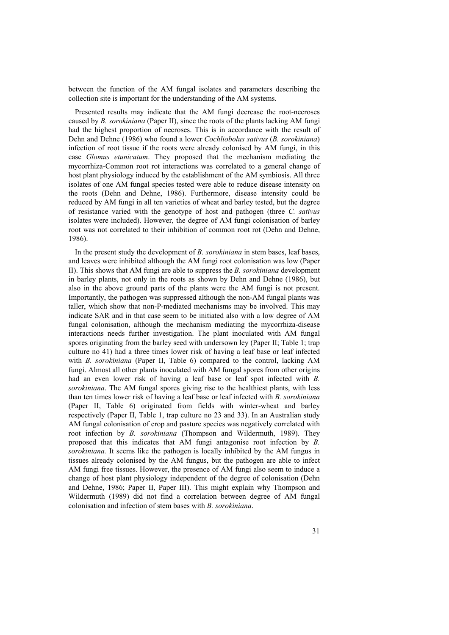between the function of the AM fungal isolates and parameters describing the collection site is important for the understanding of the AM systems.

Presented results may indicate that the AM fungi decrease the root-necroses caused by *B. sorokiniana* (Paper II), since the roots of the plants lacking AM fungi had the highest proportion of necroses. This is in accordance with the result of Dehn and Dehne (1986) who found a lower *Cochliobolus sativus* (*B. sorokiniana*) infection of root tissue if the roots were already colonised by AM fungi, in this case *Glomus etunicatum*. They proposed that the mechanism mediating the mycorrhiza-Common root rot interactions was correlated to a general change of host plant physiology induced by the establishment of the AM symbiosis. All three isolates of one AM fungal species tested were able to reduce disease intensity on the roots (Dehn and Dehne, 1986). Furthermore, disease intensity could be reduced by AM fungi in all ten varieties of wheat and barley tested, but the degree of resistance varied with the genotype of host and pathogen (three *C. sativus* isolates were included). However, the degree of AM fungi colonisation of barley root was not correlated to their inhibition of common root rot (Dehn and Dehne, 1986).

In the present study the development of *B. sorokiniana* in stem bases, leaf bases, and leaves were inhibited although the AM fungi root colonisation was low (Paper II). This shows that AM fungi are able to suppress the *B. sorokiniana* development in barley plants, not only in the roots as shown by Dehn and Dehne (1986), but also in the above ground parts of the plants were the AM fungi is not present. Importantly, the pathogen was suppressed although the non-AM fungal plants was taller, which show that non-P-mediated mechanisms may be involved. This may indicate SAR and in that case seem to be initiated also with a low degree of AM fungal colonisation, although the mechanism mediating the mycorrhiza-disease interactions needs further investigation. The plant inoculated with AM fungal spores originating from the barley seed with undersown ley (Paper II; Table 1; trap culture no 41) had a three times lower risk of having a leaf base or leaf infected with *B. sorokiniana* (Paper II, Table 6) compared to the control, lacking AM fungi. Almost all other plants inoculated with AM fungal spores from other origins had an even lower risk of having a leaf base or leaf spot infected with *B. sorokiniana*. The AM fungal spores giving rise to the healthiest plants, with less than ten times lower risk of having a leaf base or leaf infected with *B. sorokiniana* (Paper II, Table 6) originated from fields with winter-wheat and barley respectively (Paper II, Table 1, trap culture no 23 and 33). In an Australian study AM fungal colonisation of crop and pasture species was negatively correlated with root infection by *B. sorokiniana* (Thompson and Wildermuth, 1989). They proposed that this indicates that AM fungi antagonise root infection by *B. sorokiniana.* It seems like the pathogen is locally inhibited by the AM fungus in tissues already colonised by the AM fungus, but the pathogen are able to infect AM fungi free tissues. However, the presence of AM fungi also seem to induce a change of host plant physiology independent of the degree of colonisation (Dehn and Dehne, 1986; Paper II, Paper III). This might explain why Thompson and Wildermuth (1989) did not find a correlation between degree of AM fungal colonisation and infection of stem bases with *B. sorokiniana*.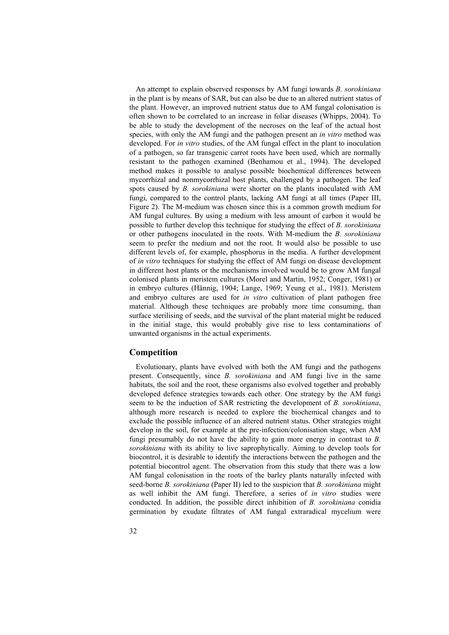An attempt to explain observed responses by AM fungi towards *B. sorokiniana* in the plant is by means of SAR, but can also be due to an altered nutrient status of the plant. However, an improved nutrient status due to AM fungal colonisation is often shown to be correlated to an increase in foliar diseases (Whipps, 2004). To be able to study the development of the necroses on the leaf of the actual host species, with only the AM fungi and the pathogen present an *in vitro* method was developed. For *in vitro* studies, of the AM fungal effect in the plant to inoculation of a pathogen, so far transgenic carrot roots have been used, which are normally resistant to the pathogen examined (Benhamou et al., 1994). The developed method makes it possible to analyse possible biochemical differences between mycorrhizal and nonmycorrhizal host plants, challenged by a pathogen. The leaf spots caused by *B. sorokiniana* were shorter on the plants inoculated with AM fungi, compared to the control plants, lacking AM fungi at all times (Paper III, Figure 2). The M-medium was chosen since this is a common growth medium for AM fungal cultures. By using a medium with less amount of carbon it would be possible to further develop this technique for studying the effect of *B. sorokiniana* or other pathogens inoculated in the roots. With M-medium the *B. sorokiniana* seem to prefer the medium and not the root. It would also be possible to use different levels of, for example, phosphorus in the media. A further development of *in vitro* techniques for studying the effect of AM fungi on disease development in different host plants or the mechanisms involved would be to grow AM fungal colonised plants in meristem cultures (Morel and Martin, 1952; Conger, 1981) or in embryo cultures (Hännig, 1904; Lange, 1969; Yeung et al., 1981). Meristem and embryo cultures are used for *in vitro* cultivation of plant pathogen free material. Although these techniques are probably more time consuming, than surface sterilising of seeds, and the survival of the plant material might be reduced in the initial stage, this would probably give rise to less contaminations of unwanted organisms in the actual experiments.

### **Competition**

Evolutionary, plants have evolved with both the AM fungi and the pathogens present. Consequently, since *B. sorokiniana* and AM fungi live in the same habitats, the soil and the root, these organisms also evolved together and probably developed defence strategies towards each other. One strategy by the AM fungi seem to be the induction of SAR restricting the development of *B. sorokiniana*, although more research is needed to explore the biochemical changes and to exclude the possible influence of an altered nutrient status. Other strategies might develop in the soil, for example at the pre-infection/colonisation stage, when AM fungi presumably do not have the ability to gain more energy in contrast to *B. sorokiniana* with its ability to live saprophytically. Aiming to develop tools for biocontrol, it is desirable to identify the interactions between the pathogen and the potential biocontrol agent. The observation from this study that there was a low AM fungal colonisation in the roots of the barley plants naturally infected with seed-borne *B. sorokiniana* (Paper II) led to the suspicion that *B. sorokiniana* might as well inhibit the AM fungi. Therefore, a series of *in vitro* studies were conducted. In addition, the possible direct inhibition of *B. sorokiniana* conidia germination by exudate filtrates of AM fungal extraradical mycelium were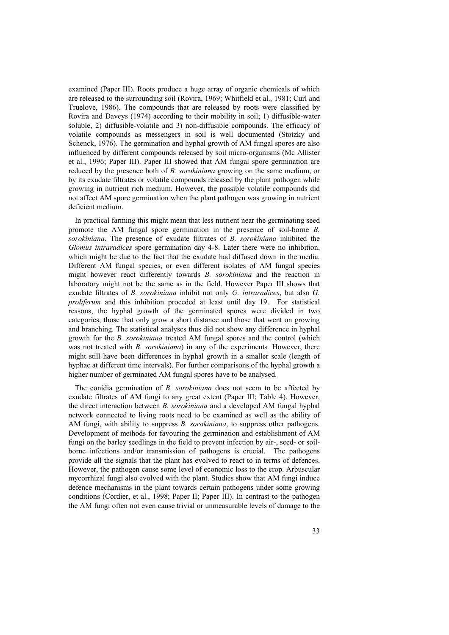examined (Paper III). Roots produce a huge array of organic chemicals of which are released to the surrounding soil (Rovira, 1969; Whitfield et al., 1981; Curl and Truelove, 1986). The compounds that are released by roots were classified by Rovira and Daveys (1974) according to their mobility in soil; 1) diffusible-water soluble, 2) diffusible-volatile and 3) non-diffusible compounds. The efficacy of volatile compounds as messengers in soil is well documented (Stotzky and Schenck, 1976). The germination and hyphal growth of AM fungal spores are also influenced by different compounds released by soil micro-organisms (Mc Allister et al., 1996; Paper III). Paper III showed that AM fungal spore germination are reduced by the presence both of *B. sorokiniana* growing on the same medium, or by its exudate filtrates or volatile compounds released by the plant pathogen while growing in nutrient rich medium. However, the possible volatile compounds did not affect AM spore germination when the plant pathogen was growing in nutrient deficient medium.

In practical farming this might mean that less nutrient near the germinating seed promote the AM fungal spore germination in the presence of soil-borne *B. sorokiniana*. The presence of exudate filtrates of *B. sorokiniana* inhibited the *Glomus intraradices* spore germination day 4-8. Later there were no inhibition, which might be due to the fact that the exudate had diffused down in the media. Different AM fungal species, or even different isolates of AM fungal species might however react differently towards *B. sorokiniana* and the reaction in laboratory might not be the same as in the field. However Paper III shows that exudate filtrates of *B. sorokiniana* inhibit not only *G. intraradices*, but also *G. proliferum* and this inhibition proceded at least until day 19. For statistical reasons, the hyphal growth of the germinated spores were divided in two categories, those that only grow a short distance and those that went on growing and branching. The statistical analyses thus did not show any difference in hyphal growth for the *B. sorokiniana* treated AM fungal spores and the control (which was not treated with *B. sorokiniana*) in any of the experiments. However, there might still have been differences in hyphal growth in a smaller scale (length of hyphae at different time intervals). For further comparisons of the hyphal growth a higher number of germinated AM fungal spores have to be analysed.

The conidia germination of *B. sorokiniana* does not seem to be affected by exudate filtrates of AM fungi to any great extent (Paper III; Table 4). However, the direct interaction between *B. sorokiniana* and a developed AM fungal hyphal network connected to living roots need to be examined as well as the ability of AM fungi, with ability to suppress *B. sorokiniana*, to suppress other pathogens. Development of methods for favouring the germination and establishment of AM fungi on the barley seedlings in the field to prevent infection by air-, seed- or soilborne infections and/or transmission of pathogens is crucial. The pathogens provide all the signals that the plant has evolved to react to in terms of defences. However, the pathogen cause some level of economic loss to the crop. Arbuscular mycorrhizal fungi also evolved with the plant. Studies show that AM fungi induce defence mechanisms in the plant towards certain pathogens under some growing conditions (Cordier, et al., 1998; Paper II; Paper III). In contrast to the pathogen the AM fungi often not even cause trivial or unmeasurable levels of damage to the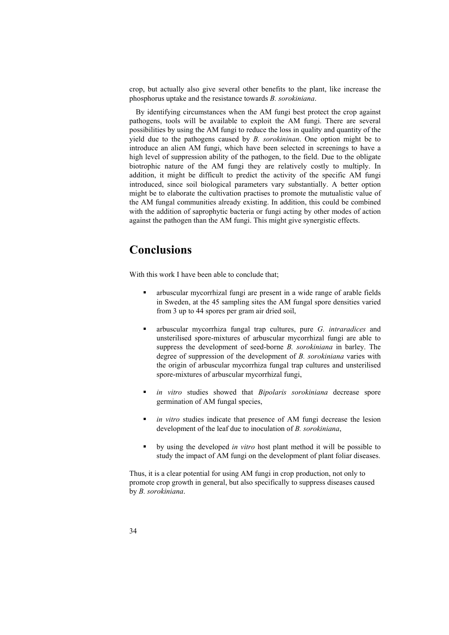crop, but actually also give several other benefits to the plant, like increase the phosphorus uptake and the resistance towards *B. sorokiniana*.

By identifying circumstances when the AM fungi best protect the crop against pathogens, tools will be available to exploit the AM fungi. There are several possibilities by using the AM fungi to reduce the loss in quality and quantity of the yield due to the pathogens caused by *B. sorokininan*. One option might be to introduce an alien AM fungi, which have been selected in screenings to have a high level of suppression ability of the pathogen, to the field. Due to the obligate biotrophic nature of the AM fungi they are relatively costly to multiply. In addition, it might be difficult to predict the activity of the specific AM fungi introduced, since soil biological parameters vary substantially. A better option might be to elaborate the cultivation practises to promote the mutualistic value of the AM fungal communities already existing. In addition, this could be combined with the addition of saprophytic bacteria or fungi acting by other modes of action against the pathogen than the AM fungi. This might give synergistic effects.

# **Conclusions**

With this work I have been able to conclude that;

- arbuscular mycorrhizal fungi are present in a wide range of arable fields in Sweden, at the 45 sampling sites the AM fungal spore densities varied from 3 up to 44 spores per gram air dried soil,
- arbuscular mycorrhiza fungal trap cultures, pure *G. intraradices* and unsterilised spore-mixtures of arbuscular mycorrhizal fungi are able to suppress the development of seed-borne *B. sorokiniana* in barley. The degree of suppression of the development of *B. sorokiniana* varies with the origin of arbuscular mycorrhiza fungal trap cultures and unsterilised spore-mixtures of arbuscular mycorrhizal fungi,
- *in vitro* studies showed that *Bipolaris sorokiniana* decrease spore germination of AM fungal species,
- *in vitro* studies indicate that presence of AM fungi decrease the lesion development of the leaf due to inoculation of *B. sorokiniana*,
- by using the developed *in vitro* host plant method it will be possible to study the impact of AM fungi on the development of plant foliar diseases.

Thus, it is a clear potential for using AM fungi in crop production, not only to promote crop growth in general, but also specifically to suppress diseases caused by *B. sorokiniana*.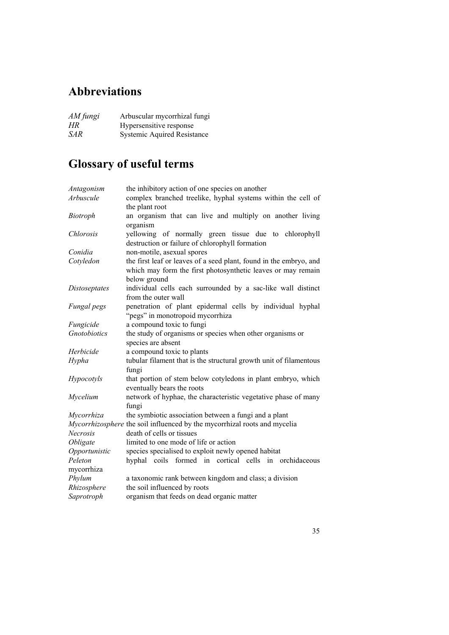# **Abbreviations**

| AM fungi   | Arbuscular mycorrhizal fungi       |
|------------|------------------------------------|
| HR.        | Hypersensitive response            |
| <i>SAR</i> | <b>Systemic Aquired Resistance</b> |

# **Glossary of useful terms**

| Antagonism      | the inhibitory action of one species on another                           |
|-----------------|---------------------------------------------------------------------------|
| Arbuscule       | complex branched treelike, hyphal systems within the cell of              |
|                 | the plant root                                                            |
| <b>Biotroph</b> | an organism that can live and multiply on another living                  |
|                 | organism                                                                  |
| Chlorosis       | yellowing of normally green tissue due to chlorophyll                     |
|                 | destruction or failure of chlorophyll formation                           |
| Conidia         | non-motile, asexual spores                                                |
| Cotyledon       | the first leaf or leaves of a seed plant, found in the embryo, and        |
|                 | which may form the first photosynthetic leaves or may remain              |
|                 | below ground                                                              |
| Distoseptates   | individual cells each surrounded by a sac-like wall distinct              |
|                 | from the outer wall                                                       |
| Fungal pegs     | penetration of plant epidermal cells by individual hyphal                 |
|                 | "pegs" in monotropoid mycorrhiza                                          |
| Fungicide       | a compound toxic to fungi                                                 |
| Gnotobiotics    | the study of organisms or species when other organisms or                 |
|                 | species are absent                                                        |
| Herbicide       | a compound toxic to plants                                                |
| Hypha           | tubular filament that is the structural growth unit of filamentous        |
|                 | fungi                                                                     |
| Hypocotyls      | that portion of stem below cotyledons in plant embryo, which              |
|                 | eventually bears the roots                                                |
| Mycelium        | network of hyphae, the characteristic vegetative phase of many            |
|                 | fungi                                                                     |
| Mycorrhiza      | the symbiotic association between a fungi and a plant                     |
|                 | Mycorrhizosphere the soil influenced by the mycorrhizal roots and mycelia |
| Necrosis        | death of cells or tissues                                                 |
| Obligate        | limited to one mode of life or action                                     |
| Opportunistic   | species specialised to exploit newly opened habitat                       |
| Peleton         | hyphal coils formed in cortical cells in orchidaceous                     |
| mycorrhiza      |                                                                           |
| Phylum          | a taxonomic rank between kingdom and class; a division                    |
| Rhizosphere     | the soil influenced by roots                                              |
| Saprotroph      | organism that feeds on dead organic matter                                |
|                 |                                                                           |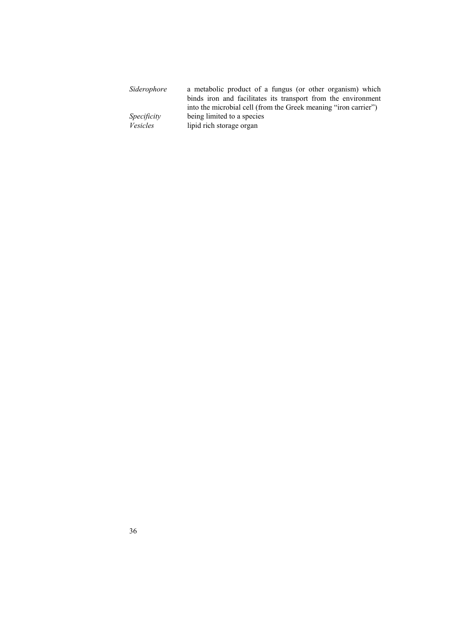| Siderophore | a metabolic product of a fungus (or other organism) which       |
|-------------|-----------------------------------------------------------------|
|             | binds iron and facilitates its transport from the environment   |
|             | into the microbial cell (from the Greek meaning "iron carrier") |
| Specificity | being limited to a species                                      |
| Vesicles    | lipid rich storage organ                                        |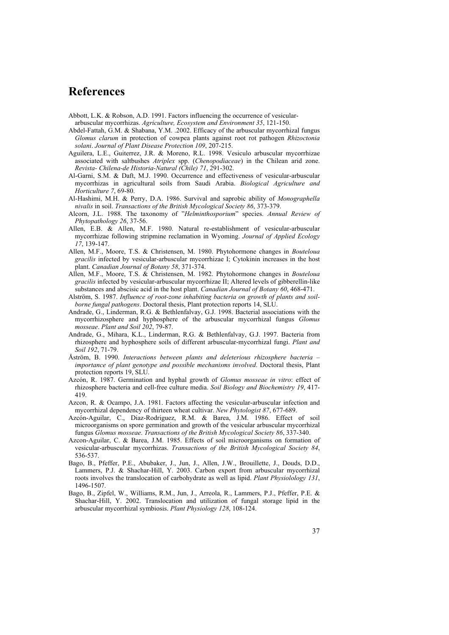# **References**

Abbott, L.K. & Robson, A.D. 1991. Factors influencing the occurrence of vesicular-

arbuscular mycorrhizas. *Agriculture, Ecosystem and Environment 35*, 121-150.

- Abdel-Fattah, G.M. & Shabana, Y.M. .2002. Efficacy of the arbuscular mycorrhizal fungus *Glomus clarum* in protection of cowpea plants against root rot pathogen *Rhizoctonia solani*. *Journal of Plant Disease Protection 109*, 207-215.
- Aguilera, L.E., Guiterrez, J.R. & Moreno, R.L. 1998. Vesiculo arbuscular mycorrhizae associated with saltbushes *Atriplex* spp. (*Chenopodiaceae*) in the Chilean arid zone. *Revista- Chilena-de Historia-Natural (Chile) 71*, 291-302.
- Al-Garni, S.M. & Daft, M.J. 1990. Occurrence and effectiveness of vesicular-arbuscular mycorrhizas in agricultural soils from Saudi Arabia. *Biological Agriculture and Horticulture 7*, 69-80.
- Al-Hashimi, M.H. & Perry, D.A. 1986. Survival and saprobic ability of *Monographella nivalis* in soil. *Transactions of the British Mycological Society 86*, 373-379.
- Alcorn, J.L. 1988. The taxonomy of "*Helminthosporium*" species. *Annual Review of Phytopathology 26*, 37-56.
- Allen, E.B. & Allen, M.F. 1980. Natural re-establishment of vesicular-arbuscular mycorrhizae following stripmine reclamation in Wyoming. *Journal of Applied Ecology 17*, 139-147.
- Allen, M.F., Moore, T.S. & Christensen, M. 1980. Phytohormone changes in *Bouteloua gracilis* infected by vesicular-arbuscular mycorrhizae I; Cytokinin increases in the host plant. *Canadian Journal of Botany 58*, 371-374.
- Allen, M.F., Moore, T.S. & Christensen, M. 1982. Phytohormone changes in *Bouteloua gracilis* infected by vesicular-arbuscular mycorrhizae II; Altered levels of gibberellin-like substances and abscisic acid in the host plant. *Canadian Journal of Botany 60*, 468-471.
- Alström, S. 1987. *Influence of root-zone inhabiting bacteria on growth of plants and soilborne fungal pathogens*. Doctoral thesis, Plant protection reports 14, SLU.
- Andrade, G., Linderman, R.G. & Bethlenfalvay, G.J. 1998. Bacterial associations with the mycorrhizosphere and hyphosphere of the arbuscular mycorrhizal fungus *Glomus mosseae*. *Plant and Soil 202*, 79-87.
- Andrade, G., Mihara, K.L., Linderman, R.G. & Bethlenfalvay, G.J. 1997. Bacteria from rhizosphere and hyphosphere soils of different arbuscular-mycorrhizal fungi. *Plant and Soil 192*, 71-79.
- Åström, B. 1990. *Interactions between plants and deleterious rhizosphere bacteria importance of plant genotype and possible mechanisms involved*. Doctoral thesis, Plant protection reports 19, SLU.
- Azcón, R. 1987. Germination and hyphal growth of *Glomus mosseae in vitro*: effect of rhizosphere bacteria and cell-free culture media. *Soil Biology and Biochemistry 19*, 417- 419.
- Azcon, R. & Ocampo, J.A. 1981. Factors affecting the vesicular-arbuscular infection and mycorrhizal dependency of thirteen wheat cultivar. *New Phytologist 87*, 677-689.
- Azcón-Aguilar, C., Diaz-Rodriguez, R.M. & Barea, J.M. 1986. Effect of soil microorganisms on spore germination and growth of the vesicular arbuscular mycorrhizal fungus *Glomus mosseae*. *Transactions of the British Mycological Society 86*, 337-340.
- Azcon-Aguilar, C. & Barea, J.M. 1985. Effects of soil microorganisms on formation of vesicular-arbuscular mycorrhizas. *Transactions of the British Mycological Society 84*, 536-537.
- Bago, B., Pfeffer, P.E., Abubaker, J., Jun, J., Allen, J.W., Brouillette, J., Douds, D.D., Lammers, P.J. & Shachar-Hill, Y. 2003. Carbon export from arbuscular mycorrhizal roots involves the translocation of carbohydrate as well as lipid. *Plant Physiolology 131*, 1496-1507.
- Bago, B., Zipfel, W., Williams, R.M., Jun, J., Arreola, R., Lammers, P.J., Pfeffer, P.E. & Shachar-Hill, Y. 2002. Translocation and utilization of fungal storage lipid in the arbuscular mycorrhizal symbiosis. *Plant Physiology 128*, 108-124.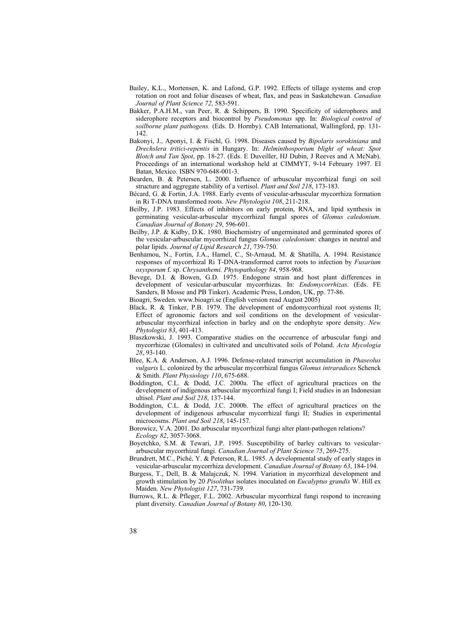- Bailey, K.L., Mortensen, K. and Lafond, G.P. 1992. Effects of tillage systems and crop rotation on root and foliar diseases of wheat, flax, and peas in Saskatchewan. *Canadian Journal of Plant Science 72*, 583-591.
- Bakker, P.A.H.M., van Peer, R. & Schippers, B. 1990. Specificity of siderophores and siderophore receptors and biocontrol by *Pseudomonas* spp. In: *Biological control of soilborne plant pathogens.* (Eds. D. Hornby). CAB International, Wallingford, pp. 131- 142.
- Bakonyi, J., Aponyi, I. & Fischl, G. 1998. Diseases caused by *Bipolaris sorokiniana* and *Drechslera tritici*-*repentis* in Hungary. In: *Helminthosporium blight of wheat: Spot Blotch and Tan Spot*, pp. 18-27. (Eds. E Duveiller, HJ Dubin, J Reeves and A McNab). Proceedings of an international workshop held at CIMMYT, 9-14 February 1997. El Batan, Mexico. ISBN 970-648-001-3.
- Bearden, B. & Petersen, L. 2000. Influence of arbuscular mycorrhizal fungi on soil structure and aggregate stability of a vertisol. *Plant and Soil 218*, 173-183.
- Bécard, G. & Fortin, J.A. 1988. Early events of vesicular-arbuscular mycorrhiza formation in Ri T-DNA transformed roots. *New Phytologist 108*, 211-218.
- Beilby, J.P. 1983. Effects of inhibitors on early protein, RNA, and lipid synthesis in germinating vesicular-arbuscular mycorrhizal fungal spores of *Glomus caledonium*. *Canadian Journal of Botany 29*, 596-601.
- Beilby, J.P. & Kidby, D.K. 1980. Biochemistry of ungerminated and germinated spores of the vesicular-arbuscular mycorrhizal fungus *Glomus caledonium*: changes in neutral and polar lipids. *Journal of Lipid Research 21*, 739-750.
- Benhamou, N., Fortin, J.A., Hamel, C., St-Arnaud, M. & Shatilla, A. 1994. Resistance responses of mycorrhizal Ri T-DNA-transformed carrot roots to infection by *Fusarium oxysporum* f. sp. *Chrysanthemi. Phytopathology 84*, 958-968.
- Bevege, D.I. & Bowen, G.D. 1975. Endogone strain and host plant differences in development of vesicular-arbuscular mycorrhizas. In: *Endomycorrhizas*. (Eds. FE Sanders, B Mosse and PB Tinker). Academic Press, London, UK, pp. 77-86.

Bioagri, Sweden. www.bioagri.se (English version read August 2005)

- Black, R. & Tinker, P.B. 1979. The development of endomycorrhizal root systems II; Effect of agronomic factors and soil conditions on the development of vesiculararbuscular mycorrhizal infection in barley and on the endophyte spore density. *New Phytologist 83*, 401-413.
- Blaszkowski, J. 1993. Comparative studies on the occurrence of arbuscular fungi and mycorrhizae (Glomales) in cultivated and uncultivated soils of Poland. *Acta Mycologia 28*, 93-140.
- Blee, K.A. & Anderson, A.J. 1996. Defense-related transcript accumulation in *Phaseolus vulgaris* L. colonized by the arbuscular mycorrhizal fungus *Glomus intraradices* Schenck & Smith. *Plant Physiology 110*, 675-688.
- Boddington, C.L. & Dodd, J.C. 2000a. The effect of agricultural practices on the development of indigenous arbuscular mycorrhizal fungi I; Field studies in an Indonesian ultisol. *Plant and Soil 218*, 137-144.
- Boddington, C.L. & Dodd, J.C. 2000b. The effect of agricultural practices on the development of indigenous arbuscular mycorrhizal fungi II; Studies in experimental microcosms. *Plant and Soil 218*, 145-157.
- Borowicz, V.A. 2001. Do arbuscular mycorrhizal fungi alter plant-pathogen relations? *Ecology 82*, 3057-3068.
- Boyetchko, S.M. & Tewari, J.P. 1995. Susceptibility of barley cultivars to vesiculararbuscular mycorrhizal fungi. *Canadian Journal of Plant Science 75*, 269-275.
- Brundrett, M.C., Piché, Y. & Peterson, R.L. 1985. A developmental study of early stages in vesicular-arbuscular mycorrhiza development. *Canadian Journal of Botany 63*, 184-194.
- Burgess, T., Dell, B. & Malajczuk, N. 1994. Variation in mycorrhizal development and growth stimulation by 20 *Pisolithus* isolates inoculated on *Eucalyptus grandis* W. Hill ex Maiden. *New Phytologist 127*, 731-739.
- Burrows, R.L. & Pfleger, F.L. 2002. Arbuscular mycorrhizal fungi respond to increasing plant diversity. *Canadian Journal of Botany 80*, 120-130.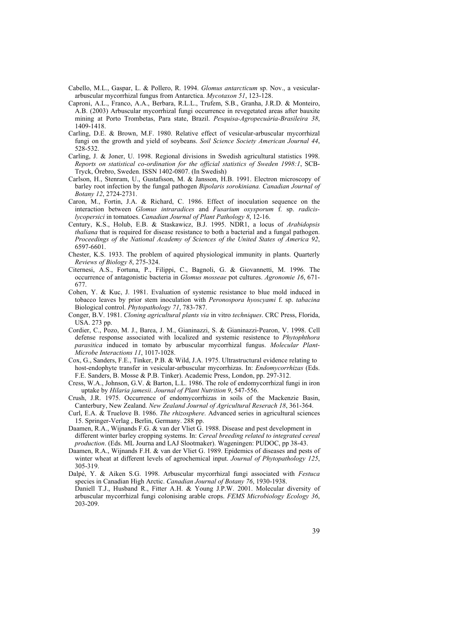- Cabello, M.L., Gaspar, L. & Pollero, R. 1994. *Glomus antarcticum* sp. Nov., a vesiculararbuscular mycorrhizal fungus from Antarctica. *Mycotaxon 51*, 123-128.
- Caproni, A.L., Franco, A.A., Berbara, R.L.L., Trufem, S.B., Granha, J.R.D. & Monteiro, A.B. (2003) Arbuscular mycorrhizal fungi occurrence in revegetated areas after bauxite mining at Porto Trombetas, Para state, Brazil. *Pesquisa-Agropecuária-Brasileira 38*, 1409-1418.
- Carling, D.E. & Brown, M.F. 1980. Relative effect of vesicular-arbuscular mycorrhizal fungi on the growth and yield of soybeans. *Soil Science Society American Journal 44*, 528-532.
- Carling, J. & Joner, U. 1998. Regional divisions in Swedish agricultural statistics 1998. *Reports on statistical co-ordination for the official statistics of Sweden 1998:1*, SCB-Tryck, Örebro, Sweden. ISSN 1402-0807. (In Swedish)
- Carlson, H., Stenram, U., Gustafsson, M. & Jansson, H.B. 1991. Electron microscopy of barley root infection by the fungal pathogen *Bipolaris sorokiniana. Canadian Journal of Botany 12*, 2724-2731.
- Caron, M., Fortin, J.A. & Richard, C. 1986. Effect of inoculation sequence on the interaction between *Glomus intraradices* and *Fusarium oxysporum* f. sp. *radicislycopersici* in tomatoes. *Canadian Journal of Plant Pathology 8*, 12-16.
- Century, K.S., Holub, E.B. & Staskawicz, B.J. 1995. NDR1, a locus of *Arabidopsis thaliana* that is required for disease resistance to both a bacterial and a fungal pathogen. *Proceedings of the National Academy of Sciences of the United States of America 92*, 6597-6601.
- Chester, K.S. 1933. The problem of aquired physiological immunity in plants. Quarterly *Reviews of Biology 8*, 275-324.
- Citernesi, A.S., Fortuna, P., Filippi, C., Bagnoli, G. & Giovannetti, M. 1996. The occurrence of antagonistic bacteria in *Glomus mosseae* pot cultures. *Agronomie 16*, 671- 677.
- Cohen, Y. & Kuc, J. 1981. Evaluation of systemic resistance to blue mold induced in tobacco leaves by prior stem inoculation with *Peronospora hyoscyami* f. sp. *tabacina* Biological control. *Phytopathology 71*, 783-787.
- Conger, B.V. 1981. *Cloning agricultural plants via* in vitro *techniques*. CRC Press, Florida, USA. 273 pp.
- Cordier, C., Pozo, M. J., Barea, J. M., Gianinazzi, S. & Gianinazzi-Pearon, V. 1998. Cell defense response associated with localized and systemic resistence to *Phytophthora parasitica* induced in tomato by arbuscular mycorrhizal fungus. *Molecular Plant-Microbe Interactions 11*, 1017-1028.
- Cox, G., Sanders, F.E., Tinker, P.B. & Wild, J.A. 1975. Ultrastructural evidence relating to host-endophyte transfer in vesicular-arbuscular mycorrhizas. In: *Endomycorrhizas* (Eds. F.E. Sanders, B. Mosse & P.B. Tinker). Academic Press, London, pp. 297-312.
- Cress, W.A., Johnson, G.V. & Barton, L.L. 1986. The role of endomycorrhizal fungi in iron uptake by *Hilaria jamesii*. *Journal of Plant Nutrition 9*, 547-556.
- Crush, J.R. 1975. Occurrence of endomycorrhizas in soils of the Mackenzie Basin, Canterbury, New Zealand. *New Zealand Journal of Agricultural Reserach 18*, 361-364.
- Curl, E.A. & Truelove B. 1986. *The rhizosphere*. Advanced series in agricultural sciences 15. Springer-Verlag , Berlin, Germany. 288 pp.
- Daamen, R.A., Wijnands F.G. & van der Vliet G. 1988. Disease and pest development in different winter barley cropping systems. In: *Cereal breeding related to integrated cereal production*. (Eds. ML Journa and LAJ Slootmaker). Wageningen: PUDOC, pp 38-43.
- Daamen, R.A., Wijnands F.H. & van der Vliet G. 1989. Epidemics of diseases and pests of winter wheat at different levels of agrochemical input. *Journal of Phytopathology 125*, 305-319.
- Dalpé, Y. & Aiken S.G. 1998. Arbuscular mycorrhizal fungi associated with *Festuca* species in Canadian High Arctic. *Canadian Journal of Botany 76*, 1930-1938. Daniell T.J., Husband R., Fitter A.H. & Young J.P.W. 2001. Molecular diversity of
- arbuscular mycorrhizal fungi colonising arable crops. *FEMS Microbiology Ecology 36*, 203-209.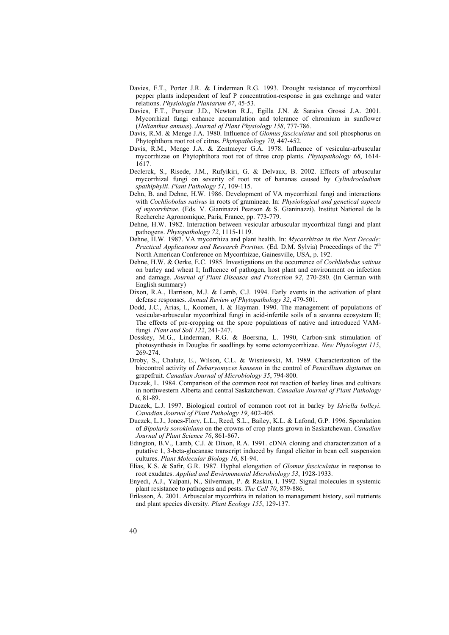- Davies, F.T., Porter J.R. & Linderman R.G. 1993. Drought resistance of mycorrhizal pepper plants independent of leaf P concentration-response in gas exchange and water relations. *Physiologia Plantarum 87*, 45-53.
- Davies, F.T., Puryear J.D., Newton R.J., Egilla J.N. & Saraiva Grossi J.A. 2001. Mycorrhizal fungi enhance accumulation and tolerance of chromium in sunflower (*Helianthus annuus*). *Journal of Plant Physiology 158*, 777-786.
- Davis, R.M. & Menge J.A. 1980. Influence of *Glomus fasciculatus* and soil phosphorus on Phytophthora root rot of citrus. *Phytopathology 70,* 447-452.
- Davis, R.M., Menge J.A. & Zentmeyer G.A. 1978. Influence of vesicular-arbuscular mycorrhizae on Phytophthora root rot of three crop plants. *Phytopathology 68*, 1614- 1617.
- Declerck, S., Risede, J.M., Rufyikiri, G. & Delvaux, B. 2002. Effects of arbuscular mycorrhizal fungi on severity of root rot of bananas caused by *Cylindrocladium spathiphylli*. *Plant Pathology 51*, 109-115.
- Dehn, B. and Dehne, H.W. 1986. Development of VA mycorrhizal fungi and interactions with *Cochliobolus sativus* in roots of gramineae. In: *Physiological and genetical aspects of mycorrhizae*. (Eds. V. Gianinazzi Pearson & S. Gianinazzi). Institut National de la Recherche Agronomique, Paris, France, pp. 773-779.
- Dehne, H.W. 1982. Interaction between vesicular arbuscular mycorrhizal fungi and plant pathogens. *Phytopathology 72*, 1115-1119.
- Dehne, H.W. 1987. VA mycorrhiza and plant health. In: *Mycorrhizae in the Next Decade: Practical Applications and Research Pririties*. (Ed. D.M. Sylvia) Proceedings of the 7th North American Conference on Mycorrhizae, Gainesville, USA, p. 192.
- Dehne, H.W. & Oerke, E.C. 1985. Investigations on the occurrence of *Cochliobolus sativus* on barley and wheat I; Influence of pathogen, host plant and environment on infection and damage. *Journal of Plant Diseases and Protection 92*, 270-280. (In German with English summary)
- Dixon, R.A., Harrison, M.J. & Lamb, C.J. 1994. Early events in the activation of plant defense responses. *Annual Review of Phytopathology 32*, 479-501.
- Dodd, J.C., Arias, I., Koomen, I. & Hayman. 1990. The management of populations of vesicular-arbuscular mycorrhizal fungi in acid-infertile soils of a savanna ecosystem II; The effects of pre-cropping on the spore populations of native and introduced VAMfungi. *Plant and Soil 122*, 241-247.
- Dosskey, M.G., Linderman, R.G. & Boersma, L. 1990, Carbon-sink stimulation of photosynthesis in Douglas fir seedlings by some ectomycorrhizae. *New Phytologist 115*, 269-274.
- Droby, S., Chalutz, E., Wilson, C.L. & Wisniewski, M. 1989. Characterization of the biocontrol activity of *Debaryomyces hansenii* in the control of *Penicillium digitatum* on grapefruit. *Canadian Journal of Microbiology 35*, 794-800.
- Duczek, L. 1984. Comparison of the common root rot reaction of barley lines and cultivars in northwestern Alberta and central Saskatchewan. *Canadian Journal of Plant Pathology 6*, 81-89.
- Duczek, L.J. 1997. Biological control of common root rot in barley by *Idriella bolleyi*. *Canadian Journal of Plant Pathology 19*, 402-405.
- Duczek, L.J., Jones-Flory, L.L., Reed, S.L., Bailey, K.L. & Lafond, G.P. 1996. Sporulation of *Bipolaris sorokiniana* on the crowns of crop plants grown in Saskatchewan. *Canadian Journal of Plant Science 76*, 861-867.
- Edington, B.V., Lamb, C.J. & Dixon, R.A. 1991. cDNA cloning and characterization of a putative 1, 3-beta-glucanase transcript induced by fungal elicitor in bean cell suspension cultures. *Plant Molecular Biology 16*, 81-94.
- Elias, K.S. & Safir, G.R. 1987. Hyphal elongation of *Glomus fasciculatus* in response to root exudates. *Applied and Environmental Microbiology 53*, 1928-1933.
- Enyedi, A.J., Yalpani, N., Silverman, P. & Raskin, I. 1992. Signal molecules in systemic plant resistance to pathogens and pests. *The Cell 70*, 879-886.
- Eriksson, Å. 2001. Arbuscular mycorrhiza in relation to management history, soil nutrients and plant species diversity. *Plant Ecology 155*, 129-137.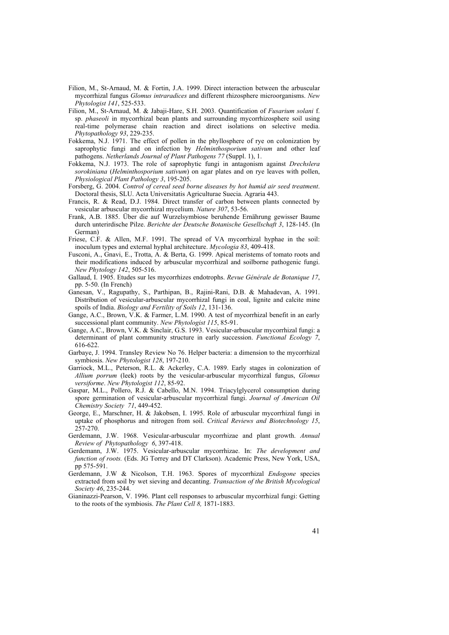- Filion, M., St-Arnaud, M. & Fortin, J.A. 1999. Direct interaction between the arbuscular mycorrhizal fungus *Glomus intraradices* and different rhizosphere microorganisms. *New Phytologist 141*, 525-533.
- Filion, M., St-Arnaud, M. & Jabaji-Hare, S.H. 2003. Quantification of *Fusarium solani* f. sp. *phaseoli* in mycorrhizal bean plants and surrounding mycorrhizosphere soil using real-time polymerase chain reaction and direct isolations on selective media. *Phytopathology 93*, 229-235.
- Fokkema, N.J. 1971. The effect of pollen in the phyllosphere of rye on colonization by saprophytic fungi and on infection by *Helminthosporium sativum* and other leaf pathogens. *Netherlands Journal of Plant Pathogens 77* (Suppl. 1), 1.
- Fokkema, N.J. 1973. The role of saprophytic fungi in antagonism against *Drechslera sorokiniana* (*Helminthosporium sativum*) on agar plates and on rye leaves with pollen, *Physiological Plant Pathology 3*, 195-205.
- Forsberg, G. 2004. *Control of cereal seed borne diseases by hot humid air seed treatment*. Doctoral thesis, SLU. Acta Universitatis Agriculturae Suecia. Agraria 443.
- Francis, R. & Read, D.J. 1984. Direct transfer of carbon between plants connected by vesicular arbuscular mycorrhizal mycelium. *Nature 307*, 53-56.
- Frank, A.B. 1885. Über die auf Wurzelsymbiose beruhende Ernährung gewisser Baume durch unterirdische Pilze. *Berichte der Deutsche Botanische Gesellschaft 3*, 128-145. (In German)
- Friese, C.F. & Allen, M.F. 1991. The spread of VA mycorrhizal hyphae in the soil: inoculum types and external hyphal architecture. *Mycologia 83*, 409-418.
- Fusconi, A., Gnavi, E., Trotta, A. & Berta, G. 1999. Apical meristems of tomato roots and their modifications induced by arbuscular mycorrhizal and soilborne pathogenic fungi. *New Phytology 142*, 505-516.
- Gallaud, I. 1905. Etudes sur les mycorrhizes endotrophs. *Revue Générale de Botanique 17*, pp. 5-50. (In French)
- Ganesan, V., Ragupathy, S., Parthipan, B., Rajini-Rani, D.B. & Mahadevan, A. 1991. Distribution of vesicular-arbuscular mycorrhizal fungi in coal, lignite and calcite mine spoils of India. *Biology and Fertility of Soils 12*, 131-136.
- Gange, A.C., Brown, V.K. & Farmer, L.M. 1990. A test of mycorrhizal benefit in an early successional plant community. *New Phytologist 115*, 85-91.
- Gange, A.C., Brown, V.K. & Sinclair, G.S. 1993. Vesicular-arbuscular mycorrhizal fungi: a determinant of plant community structure in early succession. *Functional Ecology 7*, 616-622.
- Garbaye, J. 1994. Transley Review No 76. Helper bacteria: a dimension to the mycorrhizal symbiosis. *New Phytologist 128*, 197-210.
- Garriock, M.L., Peterson, R.L. & Ackerley, C.A. 1989. Early stages in colonization of *Allium porrum* (leek) roots by the vesicular-arbuscular mycorrhizal fungus, *Glomus versiforme*. *New Phytologist 112*, 85-92.
- Gaspar, M.L., Pollero, R.J. & Cabello, M.N. 1994. Triacylglycerol consumption during spore germination of vesicular-arbuscular mycorrhizal fungi. *Journal of American Oil Chemistry Society 71*, 449-452.
- George, E., Marschner, H. & Jakobsen, I. 1995. Role of arbuscular mycorrhizal fungi in uptake of phosphorus and nitrogen from soil. *Critical Reviews and Biotechnology 15*, 257-270.
- Gerdemann, J.W. 1968. Vesicular-arbuscular mycorrhizae and plant growth. *Annual Review of Phytopathology 6*, 397-418.
- Gerdemann, J.W. 1975. Vesicular-arbuscular mycorrhizae. In: *The development and function of roots.* (Eds. JG Torrey and DT Clarkson). Academic Press, New York, USA, pp 575-591.
- Gerdemann, J.W & Nicolson, T.H. 1963. Spores of mycorrhizal *Endogone* species extracted from soil by wet sieving and decanting. *Transaction of the British Mycological Society 46*, 235-244.
- Gianinazzi-Pearson, V. 1996. Plant cell responses to arbuscular mycorrhizal fungi: Getting to the roots of the symbiosis. *The Plant Cell 8,* 1871-1883.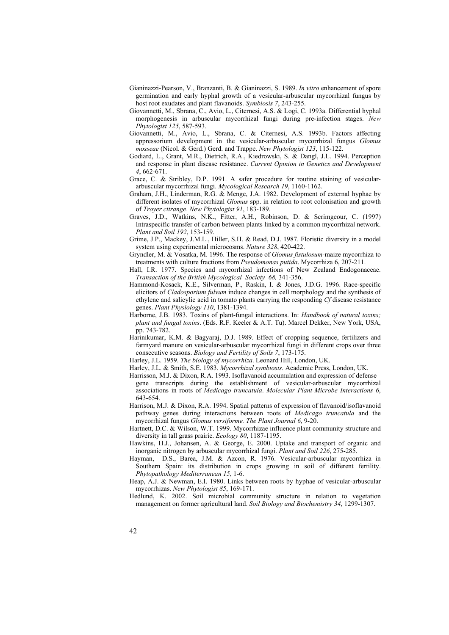- Gianinazzi-Pearson, V., Branzanti, B. & Gianinazzi, S. 1989. *In vitro* enhancement of spore germination and early hyphal growth of a vesicular-arbuscular mycorrhizal fungus by host root exudates and plant flavanoids. *Symbiosis 7*, 243-255.
- Giovannetti, M., Sbrana, C., Avio, L., Citernesi, A.S. & Logi, C. 1993a. Differential hyphal morphogenesis in arbuscular mycorrhizal fungi during pre-infection stages. *New Phytologist 125*, 587-593.
- Giovannetti, M., Avio, L., Sbrana, C. & Citernesi, A.S. 1993b. Factors affecting appressorium development in the vesicular-arbuscular mycorrhizal fungus *Glomus mosseae* (Nicol. & Gerd.) Gerd. and Trappe. *New Phytologist 123*, 115-122.
- Godiard, L., Grant, M.R., Dietrich, R.A., Kiedrowski, S. & Dangl, J.L. 1994. Perception and response in plant disease resistance. *Current Opinion in Genetics and Development 4*, 662-671.
- Grace, C. & Stribley, D.P. 1991. A safer procedure for routine staining of vesiculararbuscular mycorrhizal fungi. *Mycological Research 19*, 1160-1162.
- Graham, J.H., Linderman, R.G. & Menge, J.A. 1982. Development of external hyphae by different isolates of mycorrhizal *Glomus* spp. in relation to root colonisation and growth of *Troyer citrange*. *New Phytologist 91*, 183-189.
- Graves, J.D., Watkins, N.K., Fitter, A.H., Robinson, D. & Scrimgeour, C. (1997) Intraspecific transfer of carbon between plants linked by a common mycorrhizal network. *Plant and Soil 192*, 153-159.
- Grime, J.P., Mackey, J.M.L., Hiller, S.H. & Read, D.J. 1987. Floristic diversity in a model system using experimental microcosms. *Nature 328*, 420-422.
- Gryndler, M. & Vosatka, M. 1996. The response of *Glomus fistulosum*-maize mycorrhiza to treatments with culture fractions from *Pseudomonas putida*. Mycorrhiza 6, 207-211.
- Hall, I.R. 1977. Species and mycorrhizal infections of New Zealand Endogonaceae. *Transaction of the British Mycological Society 68,* 341-356.
- Hammond-Kosack, K.E., Silverman, P., Raskin, I. & Jones, J.D.G. 1996. Race-specific elicitors of *Cladosporium fulvum* induce changes in cell morphology and the synthesis of ethylene and salicylic acid in tomato plants carrying the responding *Cf* disease resistance genes. *Plant Physiology 110*, 1381-1394.
- Harborne, J.B. 1983. Toxins of plant-fungal interactions. In: *Handbook of natural toxins; plant and fungal toxins*. (Eds. R.F. Keeler & A.T. Tu). Marcel Dekker, New York, USA, pp. 743-782.
- Harinikumar, K.M. & Bagyaraj, D.J. 1989. Effect of cropping sequence, fertilizers and farmyard manure on vesicular-arbuscular mycorrhizal fungi in different crops over three consecutive seasons. *Biology and Fertility of Soils 7*, 173-175.
- Harley, J.L. 1959. *The biology of mycorrhiza*. Leonard Hill, London, UK.
- Harley, J.L. & Smith, S.E. 1983. *Mycorrhizal symbiosis*. Academic Press, London, UK.
- Harrisson, M.J. & Dixon, R.A. 1993. Isoflavanoid accumulation and expression of defense gene transcripts during the establishment of vesicular-arbuscular mycorrhizal associations in roots of *Medicago truncatula*. *Molecular Plant-Microbe Interactions 6*, 643-654.
- Harrison, M.J. & Dixon, R.A. 1994. Spatial patterns of expression of flavanoid/isoflavanoid pathway genes during interactions between roots of *Medicago truncatula* and the mycorrhizal fungus *Glomus versiforme. The Plant Journal 6*, 9-20.
- Hartnett, D.C. & Wilson, W.T. 1999. Mycorrhizae influence plant community structure and diversity in tall grass prairie. *Ecology 80*, 1187-1195.
- Hawkins, H.J., Johansen, A. & George, E. 2000. Uptake and transport of organic and inorganic nitrogen by arbuscular mycorrhizal fungi. *Plant and Soil 226*, 275-285.
- Hayman, D.S., Barea, J.M. & Azcon, R. 1976. Vesicular-arbuscular mycorrhiza in Southern Spain: its distribution in crops growing in soil of different fertility. *Phytopathology Mediterranean 15*, 1-6.
- Heap, A.J. & Newman, E.I. 1980. Links between roots by hyphae of vesicular-arbuscular mycorrhizas. *New Phytologist 85*, 169-171.
- Hedlund, K. 2002. Soil microbial community structure in relation to vegetation management on former agricultural land. *Soil Biology and Biochemistry 34*, 1299-1307.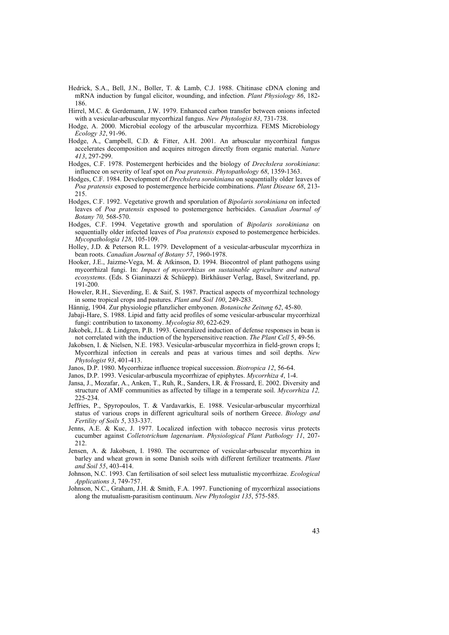- Hedrick, S.A., Bell, J.N., Boller, T. & Lamb, C.J. 1988. Chitinase cDNA cloning and mRNA induction by fungal elicitor, wounding, and infection. *Plant Physiology 86*, 182- 186.
- Hirrel, M.C. & Gerdemann, J.W. 1979. Enhanced carbon transfer between onions infected with a vesicular-arbuscular mycorrhizal fungus. *New Phytologist 83*, 731-738.
- Hodge, A. 2000. Microbial ecology of the arbuscular mycorrhiza. FEMS Microbiology *Ecology 32*, 91-96.
- Hodge, A., Campbell, C.D. & Fitter, A.H. 2001. An arbuscular mycorrhizal fungus accelerates decomposition and acquires nitrogen directly from organic material. *Nature 413*, 297-299.
- Hodges, C.F. 1978. Postemergent herbicides and the biology of *Drechslera sorokiniana*: influence on severity of leaf spot on *Poa pratensis*. *Phytopathology 68*, 1359-1363.
- Hodges, C.F. 1984. Development of *Drechslera sorokiniana* on sequentially older leaves of *Poa pratensis* exposed to postemergence herbicide combinations. *Plant Disease 68*, 213- 215.
- Hodges, C.F. 1992. Vegetative growth and sporulation of *Bipolaris sorokiniana* on infected leaves of *Poa pratensis* exposed to postemergence herbicides. *Canadian Journal of Botany 70,* 568-570.
- Hodges, C.F. 1994. Vegetative growth and sporulation of *Bipolaris sorokiniana* on sequentially older infected leaves of *Poa pratensis* exposed to postemergence herbicides. *Mycopathologia 128*, 105-109.
- Holley, J.D. & Peterson R.L. 1979. Development of a vesicular-arbuscular mycorrhiza in bean roots. *Canadian Journal of Botany 57*, 1960-1978.
- Hooker, J.E., Jaizme-Vega, M. & Atkinson, D. 1994. Biocontrol of plant pathogens using mycorrhizal fungi. In: *Impact of mycorrhizas on sustainable agriculture and natural ecosystems*. (Eds. S Gianinazzi & Schüepp). Birkhäuser Verlag, Basel, Switzerland, pp. 191-200.
- Howeler, R.H., Sieverding, E. & Saif, S. 1987. Practical aspects of mycorrhizal technology in some tropical crops and pastures. *Plant and Soil 100*, 249-283.
- Hännig, 1904. Zur physiologie pflanzlicher embyonen. *Botanische Zeitung 62*, 45-80.
- Jabaji-Hare, S. 1988. Lipid and fatty acid profiles of some vesicular-arbuscular mycorrhizal fungi: contribution to taxonomy. *Mycologia 80*, 622-629.

Jakobek, J.L. & Lindgren, P.B. 1993. Generalized induction of defense responses in bean is not correlated with the induction of the hypersensitive reaction. *The Plant Cell* 5, 49-56.

Jakobsen, I. & Nielsen, N.E. 1983. Vesicular-arbuscular mycorrhiza in field-grown crops I; Mycorrhizal infection in cereals and peas at various times and soil depths. *New Phytologist 93*, 401-413.

Janos, D.P. 1980. Mycorrhizae influence tropical succession. *Biotropica 12*, 56-64.

Janos, D.P. 1993. Vesicular-arbuscula mycorrhizae of epiphytes. *Mycorrhiza 4*, 1-4.

- Jansa, J., Mozafar, A., Anken, T., Ruh, R., Sanders, I.R. & Frossard, E. 2002. Diversity and structure of AMF communities as affected by tillage in a temperate soil. *Mycorrhiza 12,* 225-234.
- Jeffries, P., Spyropoulos, T. & Vardavarkis, E. 1988. Vesicular-arbuscular mycorrhizal status of various crops in different agricultural soils of northern Greece. *Biology and Fertility of Soils 5*, 333-337.
- Jenns, A.E. & Kuc, J. 1977. Localized infection with tobacco necrosis virus protects cucumber against *Colletotrichum lagenarium*. *Physiological Plant Pathology 11*, 207- 212.
- Jensen, A. & Jakobsen, I. 1980. The occurrence of vesicular-arbuscular mycorrhiza in barley and wheat grown in some Danish soils with different fertilizer treatments. *Plant and Soil 55*, 403-414.
- Johnson, N.C. 1993. Can fertilisation of soil select less mutualistic mycorrhizae. *Ecological Applications 3*, 749-757.
- Johnson, N.C., Graham, J.H. & Smith, F.A. 1997. Functioning of mycorrhizal associations along the mutualism-parasitism continuum. *New Phytologist 135*, 575-585.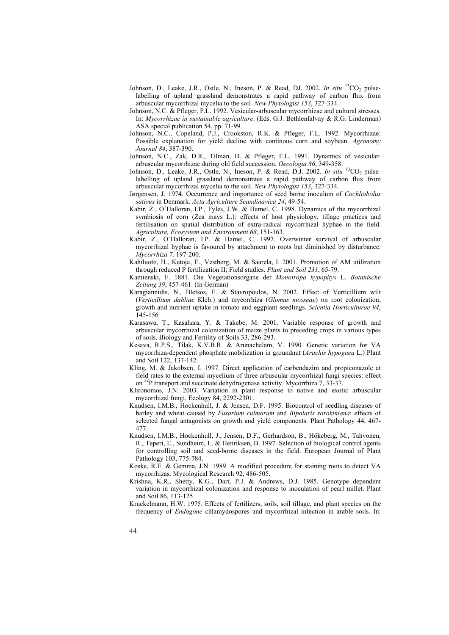- Johnson, D., Leake, J.R., Ostle, N., Ineson, P. & Read, DJ. 2002. *In situ* <sup>13</sup>CO<sub>2</sub> pulselabelling of upland grassland demonstrates a rapid pathway of carbon flux from arbuscular mycorrhizal mycelia to the soil. *New Phytologist 153*, 327-334.
- Johnson, N.C. & Pfleger, F.L. 1992. Vesicular-arbuscular mycorrhizae and cultural stresses. In: *Mycorrhizae in sustainable agriculture*. (Eds. G.J. Bethlenfalvay & R.G. Linderman) ASA special publication 54, pp. 71-99.
- Johnson, N.C., Copeland, P.J., Crookston, R.K. & Pfleger, F.L. 1992. Mycorrhizae: Possible explanation for yield decline with continous corn and soybean. *Agronomy Journal 84*, 387-390.
- Johnson, N.C., Zak, D.R., Tilman, D. & Pfleger, F.L. 1991. Dynamics of vesiculararbuscular mycorrhizae during old field succession. *Oecologia 86*, 349-358.
- Johnson, D., Leake, J.R., Ostle, N., Ineson, P. & Read, D.J. 2002. *In situ* <sup>13</sup>CO<sub>2</sub> pulselabelling of upland grassland demonstrates a rapid pathway of carbon flux from arbuscular mycorrhizal mycelia to the soil. *New Phytologist 153*, 327-334.
- Jørgensen, J. 1974. Occurrence and importance of seed borne inoculum of *Cochliobolus sativus* in Denmark. *Acta Agriculture Scandinavica 24*, 49-54.
- Kabir, Z., O´Halloran, I.P., Fyles, J.W. & Hamel, C. 1998. Dynamics of the mycorrhizal symbiosis of corn (Zea mays L.): effects of host physiology, tillage practices and fertilisation on spatial distribution of extra-radical mycorrhizal hyphae in the field. *Agriculture, Ecosystem and Environment 68*, 151-163.
- Kabir, Z., O´Halloran, I.P. & Hamel, C. 1997. Overwinter survival of arbuscular mycorrhizal hyphae is favoured by attachment to roots but diminished by disturbance. *Mycorrhiza 7,* 197-200.
- Kahiluoto, H., Ketoja, E., Vestberg, M. & Saarela, I. 2001. Promotion of AM utilization through reduced P fertilization II; Field studies. *Plant and Soil 231*, 65-79.
- Kamienski, F. 1881. Die Vegetationsorgane der *Monotropa hypopitys* L. *Botanische Zeitung 39*, 457-461. (In German)
- Karagiannidis, N., Bletsos, F. & Stavropoulos, N. 2002. Effect of Verticillium wilt (*Verticillium dahliae* Kleb.) and mycorrhiza (*Glomus mosseae*) on root colonization, growth and nutrient uptake in tomato and eggplant seedlings. *Scientia Horticulturae 94*, 145-156
- Karasawa, T., Kasahara, Y. & Takebe, M. 2001. Variable response of growth and arbuscular mycorrhizal colonization of maize plants to preceding crops in various types of soils. Biology and Fertility of Soils 33, 286-293.
- Kesava, R.P.S., Tilak, K.V.B.R. & Arunachalam, V. 1990. Genetic variation for VA mycorrhiza-dependent phosphate mobilization in groundnut (*Arachis hypogaea* L.) Plant and Soil 122, 137-142.
- Kling, M. & Jakobsen, I. 1997. Direct application of carbendazim and propiconazole at field rates to the external mycelium of three arbuscular mycorrhizal fungi species: effect on 32P transport and succinate dehydrogenase activity. Mycorrhiza 7, 33-37.
- Klironomos, J.N. 2003. Variation in plant response to native and exotic arbuscular mycorrhizal fungi. Ecology 84, 2292-2301.
- Knudsen, I.M.B., Hockenhull, J. & Jensen, D.F. 1995. Biocontrol of seedling diseases of barley and wheat caused by *Fusarium culmorum* and *Bipolaris sorokiniana*: effects of selected fungal antagonists on growth and yield components. Plant Pathology 44, 467- 477.
- Knudsen, I.M.B., Hockenhull, J., Jensen, D.F., Gerhardson, B., Hökeberg, M., Tahvonen, R., Teperi, E., Sundheim, L. & Henriksen, B. 1997. Selection of biological control agents for controlling soil and seed-borne diseases in the field. European Journal of Plant Pathology 103, 775-784.
- Koske, R.E. & Gemma, J.N. 1989. A modified procedure for staining roots to detect VA mycorrhizas. Mycological Research 92, 486-505.
- Krishna, K.R., Shetty, K.G., Dart, P.J. & Andrews, D.J. 1985. Genotype dependent variation in mycorrhizal colonization and response to inoculation of pearl millet. Plant and Soil 86, 113-125.
- Kruckelmann, H.W. 1975. Effects of fertilizers, soils, soil tillage, and plant species on the frequency of *Endogone* chlamydospores and mycorrhizal infection in arable soils. In: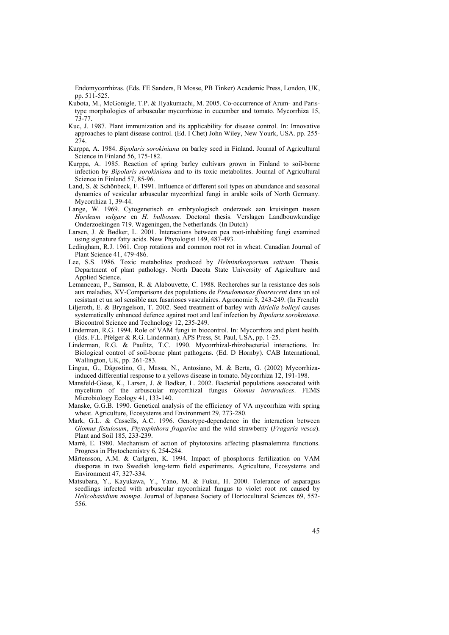Endomycorrhizas. (Eds. FE Sanders, B Mosse, PB Tinker) Academic Press, London, UK, pp. 511-525.

- Kubota, M., McGonigle, T.P. & Hyakumachi, M. 2005. Co-occurrence of Arum- and Paristype morphologies of arbuscular mycorrhizae in cucumber and tomato. Mycorrhiza 15, 73-77.
- Kuc, J. 1987. Plant immunization and its applicability for disease control. In: Innovative approaches to plant disease control. (Ed. I Chet) John Wiley, New Yourk, USA. pp. 255- 274.
- Kurppa, A. 1984. *Bipolaris sorokiniana* on barley seed in Finland. Journal of Agricultural Science in Finland 56, 175-182.
- Kurppa, A. 1985. Reaction of spring barley cultivars grown in Finland to soil-borne infection by *Bipolaris sorokiniana* and to its toxic metabolites. Journal of Agricultural Science in Finland 57, 85-96.
- Land, S. & Schönbeck, F. 1991. Influence of different soil types on abundance and seasonal dynamics of vesicular arbuscular mycorrhizal fungi in arable soils of North Germany. Mycorrhiza 1, 39-44.
- Lange, W. 1969. Cytogenetisch en embryologisch onderzoek aan kruisingen tussen *Hordeum vulgare* en *H. bulbosum.* Doctoral thesis. Verslagen Landbouwkundige Onderzoekingen 719. Wageningen, the Netherlands. (In Dutch)
- Larsen, J. & Bødker, L. 2001. Interactions between pea root-inhabiting fungi examined using signature fatty acids. New Phytologist 149, 487-493.
- Ledingham, R.J. 1961. Crop rotations and common root rot in wheat. Canadian Journal of Plant Science 41, 479-486.
- Lee, S.S. 1986. Toxic metabolites produced by *Helminthosporium sativum*. Thesis. Department of plant pathology. North Dacota State University of Agriculture and Applied Science.
- Lemanceau, P., Samson, R. & Alabouvette, C. 1988. Recherches sur la resistance des sols aux maladies, XV-Comparisons des populations de *Pseudomonas fluorescent* dans un sol resistant et un sol sensible aux fusarioses vasculaires. Agronomie 8, 243-249. (In French)
- Liljeroth, E. & Bryngelson, T. 2002. Seed treatment of barley with *Idriella bolleyi* causes systematically enhanced defence against root and leaf infection by *Bipolaris sorokiniana*. Biocontrol Science and Technology 12, 235-249.
- Linderman, R.G. 1994. Role of VAM fungi in biocontrol. In: Mycorrhiza and plant health. (Eds. F.L. Pfelger & R.G. Linderman). APS Press, St. Paul, USA, pp. 1-25.
- Linderman, R.G. & Paulitz, T.C. 1990. Mycorrhizal-rhizobacterial interactions. In: Biological control of soil-borne plant pathogens. (Ed. D Hornby). CAB International, Wallington, UK, pp. 261-283.
- Lingua, G., Dágostino, G., Massa, N., Antosiano, M. & Berta, G. (2002) Mycorrhizainduced differential response to a yellows disease in tomato. Mycorrhiza 12, 191-198.
- Mansfeld-Giese, K., Larsen, J. & Bødker, L. 2002. Bacterial populations associated with mycelium of the arbuscular mycorrhizal fungus *Glomus intraradices*. FEMS Microbiology Ecology 41, 133-140.
- Manske, G.G.B. 1990. Genetical analysis of the efficiency of VA mycorrhiza with spring wheat. Agriculture, Ecosystems and Environment 29, 273-280.
- Mark, G.L. & Cassells, A.C. 1996. Genotype-dependence in the interaction between *Glomus fistulosum*, *Phytophthora fragariae* and the wild strawberry (*Fragaria vesca*). Plant and Soil 185, 233-239.
- Marrè, E. 1980. Mechanism of action of phytotoxins affecting plasmalemma functions. Progress in Phytochemistry 6, 254-284.
- Mårtensson, A.M. & Carlgren, K. 1994. Impact of phosphorus fertilization on VAM diasporas in two Swedish long-term field experiments. Agriculture, Ecosystems and Environment 47, 327-334.
- Matsubara, Y., Kayukawa, Y., Yano, M. & Fukui, H. 2000. Tolerance of asparagus seedlings infected with arbuscular mycorrhizal fungus to violet root rot caused by *Helicobasidium mompa*. Journal of Japanese Society of Hortocultural Sciences 69, 552- 556.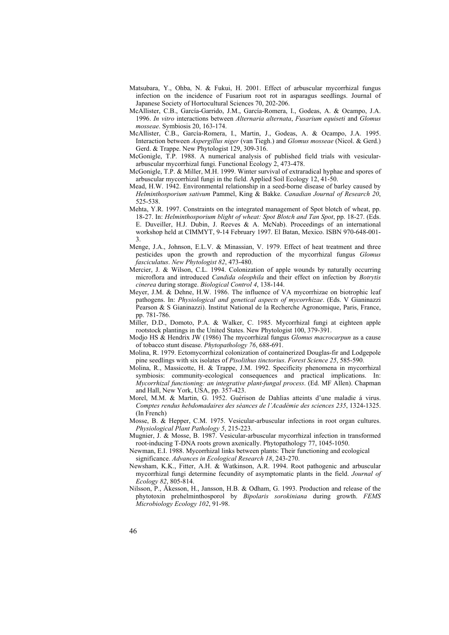- Matsubara, Y., Ohba, N. & Fukui, H. 2001. Effect of arbuscular mycorrhizal fungus infection on the incidence of Fusarium root rot in asparagus seedlings. Journal of Japanese Society of Hortocultural Sciences 70, 202-206.
- McAllister, C.B., García-Garrido, J.M., García-Romera, I., Godeas, A. & Ocampo, J.A. 1996. *In vitro* interactions between *Alternaria alternata*, *Fusarium equiseti* and *Glomus mosseae*. Symbiosis 20, 163-174.
- McAllister, C.B., García-Romera, I., Martin, J., Godeas, A. & Ocampo, J.A. 1995. Interaction between *Aspergillus niger* (van Tiegh.) and *Glomus mosseae* (Nicol. & Gerd.) Gerd. & Trappe. New Phytologist 129, 309-316.
- McGonigle, T.P. 1988. A numerical analysis of published field trials with vesiculararbuscular mycorrhizal fungi. Functional Ecology 2, 473-478.
- McGonigle, T.P. & Miller, M.H. 1999. Winter survival of extraradical hyphae and spores of arbuscular mycorrhizal fungi in the field. Applied Soil Ecology 12, 41-50.
- Mead, H.W. 1942. Environmental relationship in a seed-borne disease of barley caused by *Helminthosporium sativum* Pammel, King & Bakke. *Canadian Journal of Research 20*, 525-538.
- Mehta, Y.R. 1997. Constraints on the integrated management of Spot blotch of wheat, pp. 18-27. In: *Helminthosporium blight of wheat: Spot Blotch and Tan Spot*, pp. 18-27. (Eds. E. Duveiller, H.J. Dubin, J. Reeves & A. McNab). Proceedings of an international workshop held at CIMMYT, 9-14 February 1997. El Batan, Mexico. ISBN 970-648-001- 3.
- Menge, J.A., Johnson, E.L.V. & Minassian, V. 1979. Effect of heat treatment and three pesticides upon the growth and reproduction of the mycorrhizal fungus *Glomus fasciculatus*. *New Phytologist 82*, 473-480.
- Mercier, J. & Wilson, C.L. 1994. Colonization of apple wounds by naturally occurring microflora and introduced *Candida oleophila* and their effect on infection by *Botrytis cinerea* during storage. *Biological Control 4*, 138-144.
- Meyer, J.M. & Dehne, H.W. 1986. The influence of VA mycorrhizae on biotrophic leaf pathogens. In: *Physiological and genetical aspects of mycorrhizae*. (Eds. V Gianinazzi Pearson & S Gianinazzi). Institut National de la Recherche Agronomique, Paris, France, pp. 781-786.
- Miller, D.D., Domoto, P.A. & Walker, C. 1985. Mycorrhizal fungi at eighteen apple rootstock plantings in the United States. New Phytologist 100, 379-391.
- Modjo HS & Hendrix JW (1986) The mycorrhizal fungus *Glomus macrocarpun* as a cause of tobacco stunt disease. *Phytopathology 76*, 688-691.
- Molina, R. 1979. Ectomycorrhizal colonization of containerized Douglas-fir and Lodgepole pine seedlings with six isolates of *Pisolithus tinctorius*. *Forest Science 25*, 585-590.
- Molina, R., Massicotte, H. & Trappe, J.M. 1992. Specificity phenomena in mycorrhizal symbiosis: community-ecological consequences and practical implications. In: *Mycorrhizal functioning: an integrative plant-fungal process*. (Ed. MF Allen). Chapman and Hall, New York, USA, pp. 357-423.
- Morel, M.M. & Martin, G. 1952. Guérison de Dahlias atteints d'une maladie á virus. *Comptes rendus hebdomadaires des séances de l'Académie des sciences 235*, 1324-1325. (In French)
- Mosse, B. & Hepper, C.M. 1975. Vesicular-arbuscular infections in root organ cultures. *Physiological Plant Pathology 5*, 215-223.
- Mugnier, J. & Mosse, B. 1987. Vesicular-arbuscular mycorrhizal infection in transformed root-inducing T-DNA roots grown axenically. Phytopathology 77, 1045-1050.
- Newman, E.I. 1988. Mycorrhizal links between plants: Their functioning and ecological significance. *Advances in Ecological Research 18*, 243-270.
- Newsham, K.K., Fitter, A.H. & Watkinson, A.R. 1994. Root pathogenic and arbuscular mycorrhizal fungi determine fecundity of asymptomatic plants in the field. *Journal of Ecology 82*, 805-814.
- Nilsson, P., Åkesson, H., Jansson, H.B. & Odham, G. 1993. Production and release of the phytotoxin prehelminthosporol by *Bipolaris sorokiniana* during growth. *FEMS Microbiology Ecology 102*, 91-98.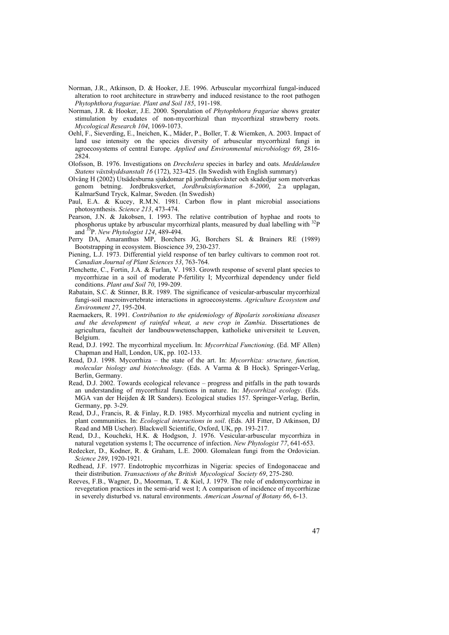- Norman, J.R., Atkinson, D. & Hooker, J.E. 1996. Arbuscular mycorrhizal fungal-induced alteration to root architecture in strawberry and induced resistance to the root pathogen *Phytophthora fragariae. Plant and Soil 185*, 191-198.
- Norman, J.R. & Hooker, J.E. 2000. Sporulation of *Phytophthora fragariae* shows greater stimulation by exudates of non-mycorrhizal than mycorrhizal strawberry roots. *Mycological Research 104*, 1069-1073.
- Oehl, F., Sieverding, E., Ineichen, K., Mäder, P., Boller, T. & Wiemken, A. 2003. Impact of land use intensity on the species diversity of arbuscular mycorrhizal fungi in agroecosystems of central Europe. *Applied and Environmental microbiology 69*, 2816- 2824.
- Olofsson, B. 1976. Investigations on *Drechslera* species in barley and oats. *Meddelanden Statens växtskyddsanstalt 16* (172), 323-425. (In Swedish with English summary)
- Olvång H (2002) Utsädesburna sjukdomar på jordbruksväxter och skadedjur som motverkas genom betning. Jordbruksverket, *Jordbruksinformation 8-2000*, 2:a upplagan, KalmarSund Tryck, Kalmar, Sweden. (In Swedish)
- Paul, E.A. & Kucey, R.M.N. 1981. Carbon flow in plant microbial associations photosynthesis. *Science 213*, 473-474.
- Pearson, J.N. & Jakobsen, I. 1993. The relative contribution of hyphae and roots to phosphorus uptake by arbuscular mycorrhizal plants, measured by dual labelling with  $^{32}P$ and 33P. *New Phytologist 124*, 489-494.
- Perry DA, Amaranthus MP, Borchers JG, Borchers SL & Brainers RE (1989) Bootstrapping in ecosystem. Bioscience 39, 230-237.
- Piening, L.J. 1973. Differential yield response of ten barley cultivars to common root rot. *Canadian Journal of Plant Sciences 53*, 763-764.
- Plenchette, C., Fortin, J.A. & Furlan, V. 1983. Growth response of several plant species to mycorrhizae in a soil of moderate P-fertility I; Mycorrhizal dependency under field conditions. *Plant and Soil 70*, 199-209.
- Rabatain, S.C. & Stinner, B.R. 1989. The significance of vesicular-arbuscular mycorrhizal fungi-soil macroinvertebrate interactions in agroecosystems. *Agriculture Ecosystem and Environment 27*, 195-204.
- Raemaekers, R. 1991. *Contribution to the epidemiology of Bipolaris sorokiniana diseases and the development of rainfed wheat, a new crop in Zambia*. Dissertationes de agricultura, faculteit der landbouwwetenschappen, katholieke universiteit te Leuven, Belgium.
- Read, D.J. 1992. The mycorrhizal mycelium. In: *Mycorrhizal Functioning*. (Ed. MF Allen) Chapman and Hall, London, UK, pp. 102-133.
- Read, D.J. 1998. Mycorrhiza the state of the art. In: *Mycorrhiza: structure, function, molecular biology and biotechnology.* (Eds. A Varma & B Hock). Springer-Verlag, Berlin, Germany.
- Read, D.J. 2002. Towards ecological relevance progress and pitfalls in the path towards an understanding of mycorrhizal functions in nature. In: *Mycorrhizal ecology*. (Eds. MGA van der Heijden & IR Sanders). Ecological studies 157. Springer-Verlag, Berlin, Germany, pp. 3-29.
- Read, D.J., Francis, R. & Finlay, R.D. 1985. Mycorrhizal mycelia and nutrient cycling in plant communities. In: *Ecological interactions in soil*. (Eds. AH Fitter, D Atkinson, DJ Read and MB Uscher). Blackwell Scientific, Oxford, UK, pp. 193-217.
- Read, D.J., Koucheki, H.K. & Hodgson, J. 1976. Vesicular-arbuscular mycorrhiza in natural vegetation systems I; The occurrence of infection. *New Phytologist 77*, 641-653.
- Redecker, D., Kodner, R. & Graham, L.E. 2000. Glomalean fungi from the Ordovician. *Science 289*, 1920-1921.
- Redhead, J.F. 1977. Endotrophic mycorrhizas in Nigeria: species of Endogonaceae and their distribution. *Transactions of the British Mycological Society 69*, 275-280.
- Reeves, F.B., Wagner, D., Moorman, T. & Kiel, J. 1979. The role of endomycorrhizae in revegetation practices in the semi-arid west I; A comparison of incidence of mycorrhizae in severely disturbed vs. natural environments. *American Journal of Botany 66*, 6-13.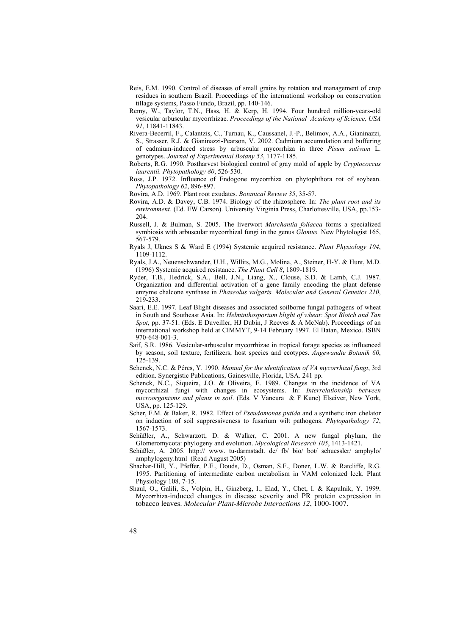- Reis, E.M. 1990. Control of diseases of small grains by rotation and management of crop residues in southern Brazil. Proceedings of the international workshop on conservation tillage systems, Passo Fundo, Brazil, pp. 140-146.
- Remy, W., Taylor, T.N., Hass, H. & Kerp, H. 1994. Four hundred million-years-old vesicular arbuscular mycorrhizae. *Proceedings of the National Academy of Science, USA 91*, 11841-11843.
- Rivera-Becerril, F., Calantzis, C., Turnau, K., Caussanel, J.-P., Belimov, A.A., Gianinazzi, S., Strasser, R.J. & Gianinazzi-Pearson, V. 2002. Cadmium accumulation and buffering of cadmium-induced stress by arbuscular mycorrhiza in three *Pisum sativum* L. genotypes. *Journal of Experimental Botany 53*, 1177-1185.
- Roberts, R.G. 1990. Postharvest biological control of gray mold of apple by *Cryptococcus laurentii. Phytopathology 80*, 526-530.
- Ross, J.P. 1972. Influence of Endogone mycorrhiza on phytophthora rot of soybean. *Phytopathology 62*, 896-897.
- Rovira, A.D. 1969. Plant root exudates. *Botanical Review 35*, 35-57.
- Rovira, A.D. & Davey, C.B. 1974. Biology of the rhizosphere. In: *The plant root and its environment.* (Ed. EW Carson). University Virginia Press, Charlottesville, USA, pp.153- 204.
- Russell, J. & Bulman, S. 2005. The liverwort *Marchantia foliacea* forms a specialized symbiosis with arbuscular mycorrhizal fungi in the genus *Glomus.* New Phytologist 165, 567-579.
- Ryals J, Uknes S & Ward E (1994) Systemic acquired resistance. *Plant Physiology 104*, 1109-1112.
- Ryals, J.A., Neuenschwander, U.H., Willits, M.G., Molina, A., Steiner, H-Y. & Hunt, M.D. (1996) Systemic acquired resistance. *The Plant Cell 8*, 1809-1819.
- Ryder, T.B., Hedrick, S.A., Bell, J.N., Liang, X., Clouse, S.D. & Lamb, C.J. 1987. Organization and differential activation of a gene family encoding the plant defense enzyme chalcone synthase in *Phaseolus vulgaris. Molecular and General Genetics 210*, 219-233. Saari, E.E. 1997. Leaf Blight diseases and associated soilborne fungal pathogens of wheat
- in South and Southeast Asia. In: *Helminthosporium blight of wheat: Spot Blotch and Tan Spot*, pp. 37-51. (Eds. E Duveiller, HJ Dubin, J Reeves & A McNab). Proceedings of an international workshop held at CIMMYT, 9-14 February 1997. El Batan, Mexico. ISBN 970-648-001-3.
- Saif, S.R. 1986. Vesicular-arbuscular mycorrhizae in tropical forage species as influenced by season, soil texture, fertilizers, host species and ecotypes. *Angewandte Botanik 60*, 125-139.
- Schenck, N.C. & Péres, Y. 1990. *Manual for the identification of VA mycorrhizal fungi*, 3rd edition. Synergistic Publications, Gainesville, Florida, USA. 241 pp.
- Schenck, N.C., Siqueira, J.O. & Oliveira, E. 1989. Changes in the incidence of VA mycorrhizal fungi with changes in ecosystems. In: *Interrelationship between microorganisms and plants in soil*. (Eds. V Vancura & F Kunc) Elseiver, New York, USA, pp. 125-129.
- Scher, F.M. & Baker, R. 1982. Effect of *Pseudomonas putida* and a synthetic iron chelator on induction of soil suppressiveness to fusarium wilt pathogens. *Phytopathology 72*, 1567-1573.
- Schüßler, A., Schwarzott, D. & Walker, C. 2001. A new fungal phylum, the Glomeromycota: phylogeny and evolution. *Mycological Research 105*, 1413-1421.
- Schüßler, A. 2005. http:// www. tu-darmstadt. de/ fb/ bio/ bot/ schuessler/ amphylo/ amphylogeny.html (Read August 2005)
- Shachar-Hill, Y., Pfeffer, P.E., Douds, D., Osman, S.F., Doner, L.W. & Ratcliffe, R.G. 1995. Partitioning of intermediate carbon metabolism in VAM colonized leek. Plant Physiology 108, 7-15.
- Shaul, O., Galili, S., Volpin, H., Ginzberg, I., Elad, Y., Chet, I. & Kapulnik, Y. 1999. Mycorrhiza-induced changes in disease severity and PR protein expression in tobacco leaves. *Molecular Plant-Microbe Interactions 12*, 1000-1007.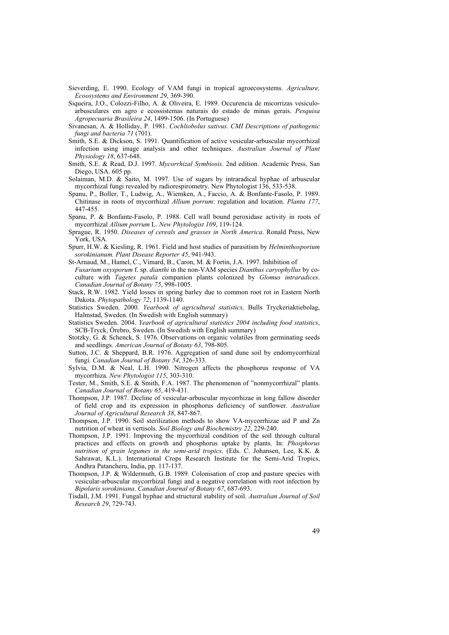- Sieverding, E. 1990. Ecology of VAM fungi in tropical agroecosystems. *Agriculture, Ecoosystems and Environment 29*, 369-390.
- Siqueira, J.O., Colozzi-Filho, A. & Oliveira, E. 1989. Occurencia de micorrizas vesiculoarbusculares em agro e ecossistemas naturais do estado de minas gerais. *Pesquisa Agropecuaria Brasileira 24*, 1499-1506. (In Portuguese)
- Sivanesan, A. & Holliday, P. 1981. *Cochliobolus sativus*. *CMI Descriptions of pathogenic fungi and bacteria 71* (701).
- Smith, S.E. & Dickson, S. 1991. Quantification of active vesicular-arbuscular mycorrhizal infection using image analysis and other techniques. *Australian Journal of Plant Physiology 18*, 637-648.
- Smith, S.E. & Read, D.J. 1997. *Mycorrhizal Symbiosis*. 2nd edition. Academic Press, San Diego, USA. 605 pp.
- Solaiman, M.D. & Saito, M. 1997. Use of sugars by intraradical hyphae of arbuscular mycorrhizal fungi revealed by radiorespirometry. New Phytologist 136, 533-538.
- Spanu, P., Boller, T., Ludwig, A., Wiemken, A., Faccio, A. & Bonfante-Fasolo, P. 1989. Chitinase in roots of mycorrhizal *Allium porrum*: regulation and location. *Planta 177*, 447-455.
- Spanu, P. & Bonfante-Fasolo, P. 1988. Cell wall bound peroxidase activity in roots of mycorrhizal *Allium porrum* L. *New Phytologist 109*, 119-124.
- Sprague, R. 1950. *Diseases of cereals and grasses in North America*. Ronald Press, New York, USA.
- Spurr, H.W. & Kiesling, R. 1961. Field and host studies of parasitism by *Helminthosporium sorokinianum. Plant Disease Reporter 45*, 941-943.
- St-Arnaud, M., Hamel, C., Vimard, B., Caron, M. & Fortin, J.A. 1997. Inhibition of *Fusarium oxysporum* f. sp. *dianthi* in the non-VAM species *Dianthus caryophyllus* by coculture with *Tagetes patula* companion plants colonized by *Glomus intraradices*. *Canadian Journal of Botany 75*, 998-1005.
- Stack, R.W. 1982. Yield losses in spring barley due to common root rot in Eastern North Dakota. *Phytopathology 72*, 1139-1140.
- Statistics Sweden. 2000. *Yearbook of agricultural statistics,* Bulls Tryckeriaktiebolag, Halmstad, Sweden. (In Swedish with English summary)
- Statistics Sweden. 2004. *Yearbook of agricultural statistics 2004 including food statistics*, SCB-Tryck, Örebro, Sweden. (In Swedish with English summary)
- Stotzky, G. & Schenck, S. 1976. Observations on organic volatiles from germinating seeds and seedlings. *American Journal of Botany 63*, 798-805.
- Sutton, J.C. & Sheppard, B.R. 1976. Aggregation of sand dune soil by endomycorrhizal fungi. *Canadian Journal of Botany 54*, 326-333.
- Sylvia, D.M. & Neal, L.H. 1990. Nitrogen affects the phosphorus response of VA mycorrhiza. *New Phytologist 115*, 303-310.
- Tester, M., Smith, S.E. & Smith, F.A. 1987. The phenomenon of "nonmycorrhizal" plants. *Canadian Journal of Botany 65*, 419-431.
- Thompson, J.P. 1987. Decline of vesicular-arbuscular mycorrhizae in long fallow disorder of field crop and its expression in phosphorus deficiency of sunflower. *Australian Journal of Agricultural Research 38*, 847-867.
- Thompson, J.P. 1990. Soil sterilization methods to show VA-mycorrhizae aid P and Zn nutrition of wheat in vertisols. *Soil Biology and Biochemistry 22*, 229-240.
- Thompson, J.P. 1991. Improving the mycorrhizal condition of the soil through cultural practices and effects on growth and phosphorus uptake by plants. In: *Phosphorus nutrition of grain legumes in the semi-arid tropics*. (Eds. C. Johansen, Lee, K.K. & Sahrawat, K.L.). International Crops Research Institute for the Semi-Arid Tropics, Andhra Patancheru, India, pp. 117-137.
- Thompson, J.P. & Wildermuth, G.B. 1989. Colonisation of crop and pasture species with vesicular-arbuscular mycorrhizal fungi and a negative correlation with root infection by *Bipolaris sorokiniana*. *Canadian Journal of Botany 67*, 687-693.
- Tisdall, J.M. 1991. Fungal hyphae and structural stability of soil. *Australian Journal of Soil Research 29*, 729-743.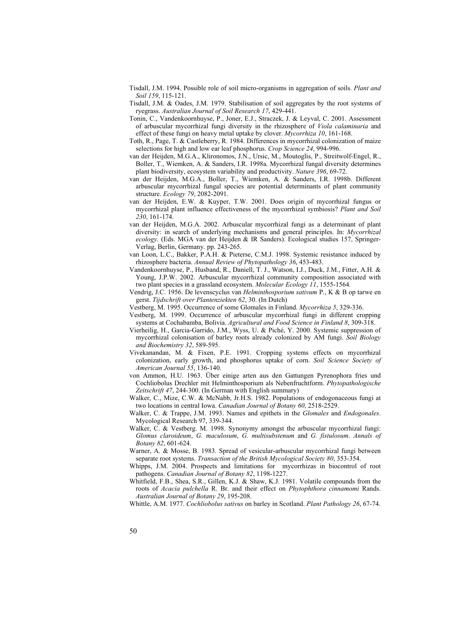- Tisdall, J.M. 1994. Possible role of soil micro-organisms in aggregation of soils. *Plant and Soil 159*, 115-121.
- Tisdall, J.M. & Oades, J.M. 1979. Stabilisation of soil aggregates by the root systems of ryegrass. *Australian Journal of Soil Research 17*, 429-441.
- Tonin, C., Vandenkoornhuyse, P., Joner, E.J., Straczek, J. & Leyval, C. 2001. Assessment of arbuscular mycorrhizal fungi diversity in the rhizosphere of *Viola calaminaria* and effect of these fungi on heavy metal uptake by clover. *Mycorrhiza 10*, 161-168.
- Toth, R., Page, T. & Castleberry, R. 1984. Differences in mycorrhizal colonization of maize selections for high and low ear leaf phosphorus. *Crop Science 24*, 994-996.
- van der Heijden, M.G.A., Klironomos, J.N., Ursic, M., Moutoglis, P., Streitwolf-Engel, R., Boller, T., Wiemken, A. & Sanders, I.R. 1998a. Mycorrhizal fungal diversity determines plant biodiversity, ecosystem variability and productivity. *Nature 396*, 69-72.
- van der Heijden, M.G.A., Boller, T., Wiemken, A. & Sanders, I.R. 1998b. Different arbuscular mycorrhizal fungal species are potential determinants of plant community structure. *Ecology 79*, 2082-2091.
- van der Heijden, E.W. & Kuyper, T.W. 2001. Does origin of mycorrhizal fungus or mycorrhizal plant influence effectiveness of the mycorrhizal symbiosis? *Plant and Soil 230*, 161-174.
- van der Heijden, M.G.A. 2002. Arbuscular mycorrhizal fungi as a determinant of plant diversity: in search of underlying mechanisms and general principles. In: *Mycorrhizal ecology.* (Eds. MGA van der Heijden & IR Sanders). Ecological studies 157, Springer-Verlag, Berlin, Germany. pp. 243-265.
- van Loon, L.C., Bakker, P.A.H. & Pieterse, C.M.J. 1998. Systemic resistance induced by rhizosphere bacteria. *Annual Review of Phytopathology 36*, 453-483.
- Vandenkoornhuyse, P., Husband, R., Daniell, T. J., Watson, I.J., Duck, J.M., Fitter, A.H. & Young, J.P.W. 2002. Arbuscular mycorrhizal community composition associated with two plant species in a grassland ecosystem. *Molecular Ecology 11*, 1555-1564*.*
- Vendrig, J.C. 1956. De levenscyclus van *Helminthosporium sativum* P., K & B op tarwe en gerst. *Tijdschrift over Plantenziekten 62*, 30. (In Dutch)
- Vestberg, M. 1995. Occurrence of some Glomales in Finland. *Mycorrhiza 5*, 329-336.
- Vestberg, M. 1999. Occurrence of arbuscular mycorrhizal fungi in different cropping systems at Cochabamba, Bolivia. *Agricultural and Food Science in Finland 8*, 309-318.
- Vierheilig, H., Garcia-Garrido, J.M., Wyss, U. & Piché, Y. 2000. Systemic suppression of mycorrhizal colonisation of barley roots already colonized by AM fungi. *Soil Biology and Biochemistry 32*, 589-595.
- Vivekanandan, M. & Fixen, P.E. 1991. Cropping systems effects on mycorrhizal colonization, early growth, and phosphorus uptake of corn. *Soil Science Society of American Journal 55*, 136-140.
- von Ammon, H.U. 1963. Über einige arten aus den Gattungen Pyrenophora fries und Cochliobolus Drechler mit Helminthosporium als Nebenfruchtform. *Phytopathologische Zeitschrift 47*, 244-300. (In German with English summary)
- Walker, C., Mize, C.W. & McNabb, Jr.H.S. 1982. Populations of endogonaceous fungi at two locations in central Iowa. *Canadian Journal of Botany 60*, 2518-2529.
- Walker, C. & Trappe, J.M. 1993. Names and epithets in the *Glomales* and *Endogonales*. Mycological Research 97, 339-344.
- Walker, C. & Vestberg. M. 1998. Synonymy amongst the arbuscular mycorrhizal fungi: *Glomus claroideum*, *G. maculosum*, *G. multisubstenum* and *G. fistulosum*. *Annals of Botany 82*, 601-624.
- Warner, A. & Mosse, B. 1983. Spread of vesicular-arbuscular mycorrhizal fungi between separate root systems. *Transaction of the British Mycological Society 80*, 353-354.
- Whipps, J.M. 2004. Prospects and limitations for mycorrhizas in biocontrol of root pathogens. *Canadian Journal of Botany 82*, 1198-1227.
- Whitfield, F.B., Shea, S.R., Gillen, K.J. & Shaw, K.J. 1981. Volatile compounds from the roots of *Acacia pulchella* R. Br. and their effect on *Phytophthora cinnamomi* Rands. *Australian Journal of Botany 29*, 195-208.
- Whittle, A.M. 1977. *Cochliobolus sativus* on barley in Scotland. *Plant Pathology 26*, 67-74.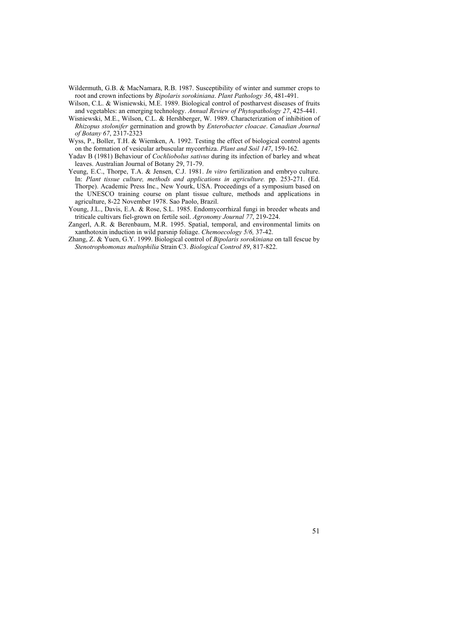- Wildermuth, G.B. & MacNamara, R.B. 1987. Susceptibility of winter and summer crops to root and crown infections by *Bipolaris sorokiniana*. *Plant Pathology 36*, 481-491.
- Wilson, C.L. & Wisniewski, M.E. 1989. Biological control of postharvest diseases of fruits and vegetables: an emerging technology. *Annual Review of Phytopathology 27*, 425-441.
- Wisniewski, M.E., Wilson, C.L. & Hershberger, W. 1989. Characterization of inhibition of *Rhizopus stolonifer* germination and growth by *Enterobacter cloacae*. *Canadian Journal of Botany 67*, 2317-2323
- Wyss, P., Boller, T.H. & Wiemken, A. 1992. Testing the effect of biological control agents on the formation of vesicular arbuscular mycorrhiza. *Plant and Soil 147*, 159-162.
- Yadav B (1981) Behaviour of *Cochliobolus sativus* during its infection of barley and wheat leaves. Australian Journal of Botany 29, 71-79.
- Yeung, E.C., Thorpe, T.A. & Jensen, C.J. 1981. *In vitro* fertilization and embryo culture. In: *Plant tissue culture, methods and applications in agriculture.* pp. 253-271. (Ed. Thorpe). Academic Press Inc., New Yourk, USA. Proceedings of a symposium based on the UNESCO training course on plant tissue culture, methods and applications in agriculture, 8-22 November 1978. Sao Paolo, Brazil.
- Young, J.L., Davis, E.A. & Rose, S.L. 1985. Endomycorrhizal fungi in breeder wheats and triticale cultivars fiel-grown on fertile soil. *Agronomy Journal 77*, 219-224.
- Zangerl, A.R. & Berenbaum, M.R. 1995. Spatial, temporal, and environmental limits on xanthotoxin induction in wild parsnip foliage. *Chemoecology 5/6,* 37-42.
- Zhang, Z. & Yuen, G.Y. 1999. Biological control of *Bipolaris sorokiniana* on tall fescue by *Stenotrophomonas maltophilia* Strain C3. *Biological Control 89*, 817-822.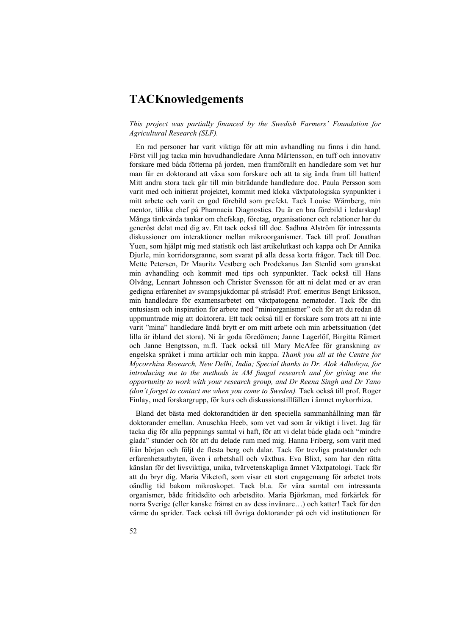# **TACKnowledgements**

### *This project was partially financed by the Swedish Farmers' Foundation for Agricultural Research (SLF).*

En rad personer har varit viktiga för att min avhandling nu finns i din hand. Först vill jag tacka min huvudhandledare Anna Mårtensson, en tuff och innovativ forskare med båda fötterna på jorden, men framförallt en handledare som vet hur man får en doktorand att växa som forskare och att ta sig ända fram till hatten! Mitt andra stora tack går till min biträdande handledare doc. Paula Persson som varit med och initierat projektet, kommit med kloka växtpatologiska synpunkter i mitt arbete och varit en god förebild som prefekt. Tack Louise Wärnberg, min mentor, tillika chef på Pharmacia Diagnostics. Du är en bra förebild i ledarskap! Många tänkvärda tankar om chefskap, företag, organisationer och relationer har du generöst delat med dig av. Ett tack också till doc. Sadhna Alström för intressanta diskussioner om interaktioner mellan mikroorganismer. Tack till prof. Jonathan Yuen, som hjälpt mig med statistik och läst artikelutkast och kappa och Dr Annika Djurle, min korridorsgranne, som svarat på alla dessa korta frågor. Tack till Doc. Mette Petersen, Dr Mauritz Vestberg och Prodekanus Jan Stenlid som granskat min avhandling och kommit med tips och synpunkter. Tack också till Hans Olvång, Lennart Johnsson och Christer Svensson för att ni delat med er av eran gedigna erfarenhet av svampsjukdomar på stråsäd! Prof. emeritus Bengt Eriksson, min handledare för examensarbetet om växtpatogena nematoder. Tack för din entusiasm och inspiration för arbete med "miniorganismer" och för att du redan då uppmuntrade mig att doktorera. Ett tack också till er forskare som trots att ni inte varit "mina" handledare ändå brytt er om mitt arbete och min arbetssituation (det lilla är ibland det stora). Ni är goda föredömen; Janne Lagerlöf, Birgitta Rämert och Janne Bengtsson, m.fl. Tack också till Mary McAfee för granskning av engelska språket i mina artiklar och min kappa. *Thank you all at the Centre for Mycorrhiza Research, New Delhi, India; Special thanks to Dr. Alok Adholeya, for introducing me to the methods in AM fungal research and for giving me the opportunity to work with your research group, and Dr Reena Singh and Dr Tano (don´t forget to contact me when you come to Sweden).* Tack också till prof. Roger Finlay, med forskargrupp, för kurs och diskussionstillfällen i ämnet mykorrhiza.

Bland det bästa med doktorandtiden är den speciella sammanhållning man får doktorander emellan. Anuschka Heeb, som vet vad som är viktigt i livet. Jag får tacka dig för alla peppnings samtal vi haft, för att vi delat både glada och "mindre glada" stunder och för att du delade rum med mig. Hanna Friberg, som varit med från början och följt de flesta berg och dalar. Tack för trevliga pratstunder och erfarenhetsutbyten, även i arbetshall och växthus. Eva Blixt, som har den rätta känslan för det livsviktiga, unika, tvärvetenskapliga ämnet Växtpatologi. Tack för att du bryr dig. Maria Viketoft, som visar ett stort engagemang för arbetet trots oändlig tid bakom mikroskopet. Tack bl.a. för våra samtal om intressanta organismer, både fritidsdito och arbetsdito. Maria Björkman, med förkärlek för norra Sverige (eller kanske främst en av dess invånare…) och katter! Tack för den värme du sprider. Tack också till övriga doktorander på och vid institutionen för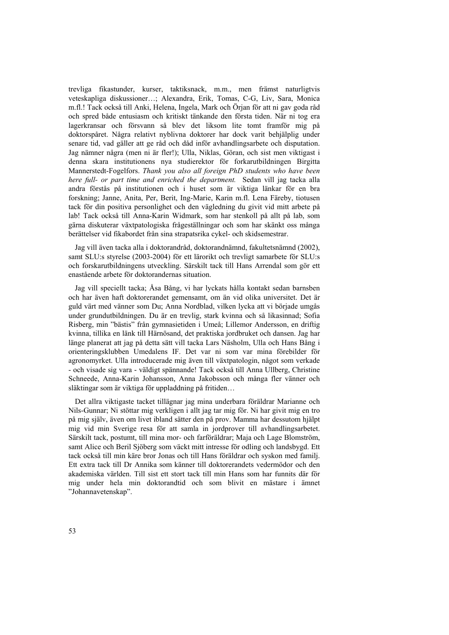trevliga fikastunder, kurser, taktiksnack, m.m., men främst naturligtvis veteskapliga diskussioner…; Alexandra, Erik, Tomas, C-G, Liv, Sara, Monica m.fl.! Tack också till Anki, Helena, Ingela, Mark och Örjan för att ni gav goda råd och spred både entusiasm och kritiskt tänkande den första tiden. När ni tog era lagerkransar och försvann så blev det liksom lite tomt framför mig på doktorspåret. Några relativt nyblivna doktorer har dock varit behjälplig under senare tid, vad gäller att ge råd och dåd inför avhandlingsarbete och disputation. Jag nämner några (men ni är fler!); Ulla, Niklas, Göran, och sist men viktigast i denna skara institutionens nya studierektor för forkarutbildningen Birgitta Mannerstedt-Fogelfors. *Thank you also all foreign PhD students who have been here full- or part time and enriched the department.* Sedan vill jag tacka alla andra förstås på institutionen och i huset som är viktiga länkar för en bra forskning; Janne, Anita, Per, Berit, Ing-Marie, Karin m.fl. Lena Färeby, tiotusen tack för din positiva personlighet och den vägledning du givit vid mitt arbete på lab! Tack också till Anna-Karin Widmark, som har stenkoll på allt på lab, som gärna diskuterar växtpatologiska frågeställningar och som har skänkt oss många berättelser vid fikabordet från sina strapatsrika cykel- och skidsemestrar.

Jag vill även tacka alla i doktorandråd, doktorandnämnd, fakultetsnämnd (2002), samt SLU:s styrelse (2003-2004) för ett lärorikt och trevligt samarbete för SLU:s och forskarutbildningens utveckling. Särskilt tack till Hans Arrendal som gör ett enastående arbete för doktorandernas situation.

Jag vill speciellt tacka; Åsa Bång, vi har lyckats hålla kontakt sedan barnsben och har även haft doktorerandet gemensamt, om än vid olika universitet. Det är guld värt med vänner som Du; Anna Nordblad, vilken lycka att vi började umgås under grundutbildningen. Du är en trevlig, stark kvinna och så likasinnad; Sofia Risberg, min "bästis" från gymnasietiden i Umeå; Lillemor Andersson, en driftig kvinna, tillika en länk till Härnösand, det praktiska jordbruket och dansen. Jag har länge planerat att jag på detta sätt vill tacka Lars Näsholm, Ulla och Hans Bång i orienteringsklubben Umedalens IF. Det var ni som var mina förebilder för agronomyrket. Ulla introducerade mig även till växtpatologin, något som verkade - och visade sig vara - väldigt spännande! Tack också till Anna Ullberg, Christine Schneede, Anna-Karin Johansson, Anna Jakobsson och många fler vänner och släktingar som är viktiga för uppladdning på fritiden…

Det allra viktigaste tacket tillägnar jag mina underbara föräldrar Marianne och Nils-Gunnar; Ni stöttar mig verkligen i allt jag tar mig för. Ni har givit mig en tro på mig själv, även om livet ibland sätter den på prov. Mamma har dessutom hjälpt mig vid min Sverige resa för att samla in jordprover till avhandlingsarbetet. Särskilt tack, postumt, till mina mor- och farföräldrar; Maja och Lage Blomström, samt Alice och Beril Sjöberg som väckt mitt intresse för odling och landsbygd. Ett tack också till min käre bror Jonas och till Hans föräldrar och syskon med familj. Ett extra tack till Dr Annika som känner till doktorerandets vedermödor och den akademiska världen. Till sist ett stort tack till min Hans som har funnits där för mig under hela min doktorandtid och som blivit en mästare i ämnet "Johannavetenskap".